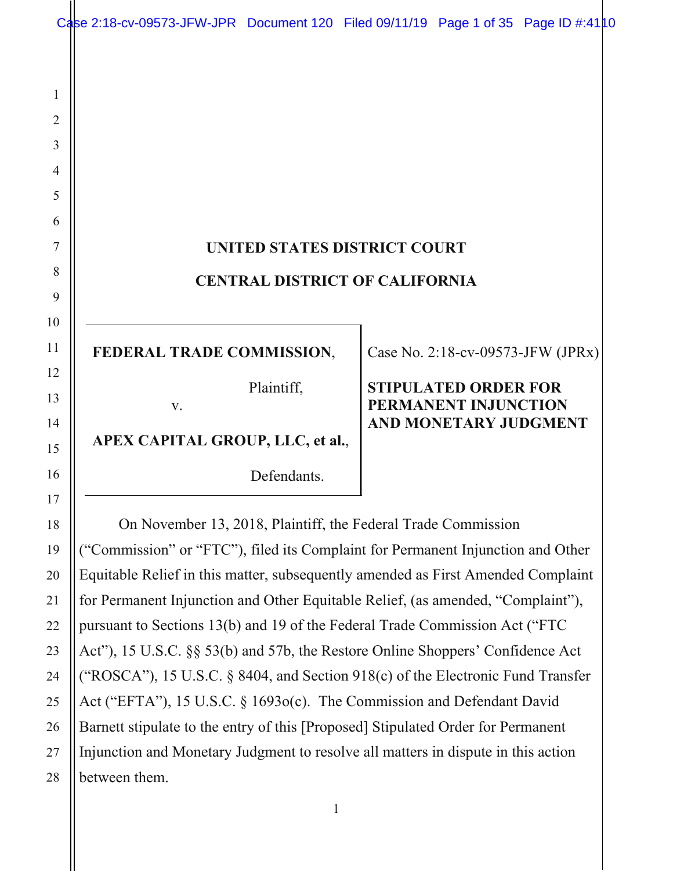1 2 3 4 5 6 7 8 9 10 11 12 13 14 15 16 17 18 19 20 **UNITED STATES DISTRICT COURT CENTRAL DISTRICT OF CALIFORNIA FEDERAL TRADE COMMISSION**, Plaintiff, v. **APEX CAPITAL GROUP, LLC, et al.**, Defendants. Case No. 2:18-cv-09573-JFW (JPRx) **STIPULATED ORDER FOR PERMANENT INJUNCTION AND MONETARY JUDGMENT**  On November 13, 2018, Plaintiff, the Federal Trade Commission ("Commission" or "FTC"), filed its Complaint for Permanent Injunction and Other Equitable Relief in this matter, subsequently amended as First Amended Complaint Case 2:18-cv-09573-JFW-JPR Document 120 Filed 09/11/19 Page 1 of 35 Page ID #:4110

for Permanent Injunction and Other Equitable Relief, (as amended, "Complaint"), pursuant to Sections 13(b) and 19 of the Federal Trade Commission Act ("FTC Act"), 15 U.S.C. §§ 53(b) and 57b, the Restore Online Shoppers' Confidence Act ("ROSCA"), 15 U.S.C. § 8404, and Section 918(c) of the Electronic Fund Transfer Act ("EFTA"), 15 U.S.C. § 1693o(c). The Commission and Defendant David Barnett stipulate to the entry of this [Proposed] Stipulated Order for Permanent Injunction and Monetary Judgment to resolve all matters in dispute in this action between them.

21

22

23

24

25

26

27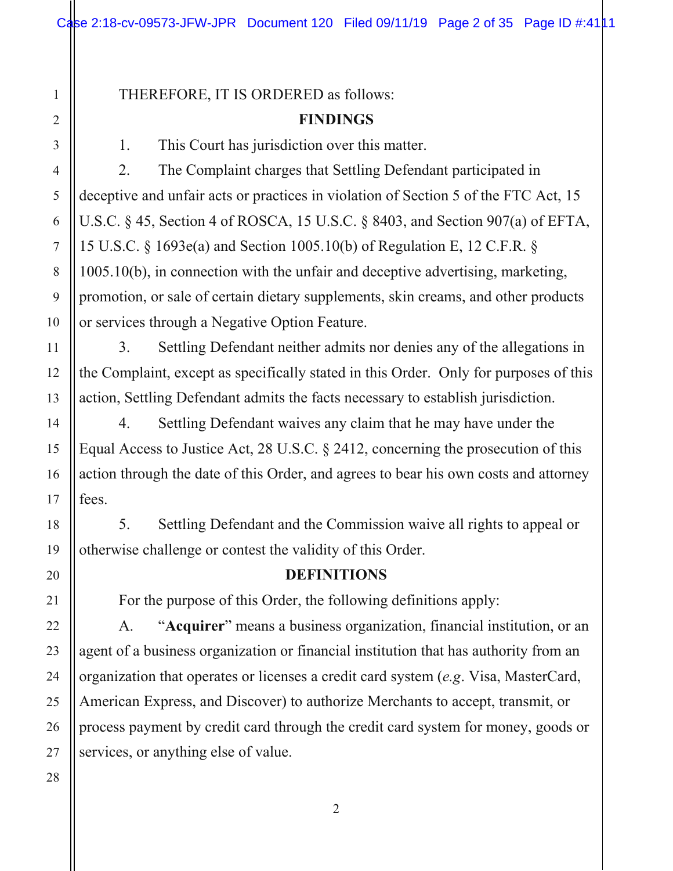THEREFORE, IT IS ORDERED as follows:

#### **FINDINGS**

1. This Court has jurisdiction over this matter.

2. The Complaint charges that Settling Defendant participated in deceptive and unfair acts or practices in violation of Section 5 of the FTC Act, 15 U.S.C. § 45, Section 4 of ROSCA, 15 U.S.C. § 8403, and Section 907(a) of EFTA, 15 U.S.C. § 1693e(a) and Section 1005.10(b) of Regulation E, 12 C.F.R. § 1005.10(b), in connection with the unfair and deceptive advertising, marketing, promotion, or sale of certain dietary supplements, skin creams, and other products or services through a Negative Option Feature.

3. Settling Defendant neither admits nor denies any of the allegations in the Complaint, except as specifically stated in this Order. Only for purposes of this action, Settling Defendant admits the facts necessary to establish jurisdiction.

4. Settling Defendant waives any claim that he may have under the Equal Access to Justice Act, 28 U.S.C. § 2412, concerning the prosecution of this action through the date of this Order, and agrees to bear his own costs and attorney fees.

5. Settling Defendant and the Commission waive all rights to appeal or otherwise challenge or contest the validity of this Order.

#### **DEFINITIONS**

For the purpose of this Order, the following definitions apply:

A. "**Acquirer**" means a business organization, financial institution, or an agent of a business organization or financial institution that has authority from an organization that operates or licenses a credit card system (*e.g*. Visa, MasterCard, American Express, and Discover) to authorize Merchants to accept, transmit, or process payment by credit card through the credit card system for money, goods or services, or anything else of value.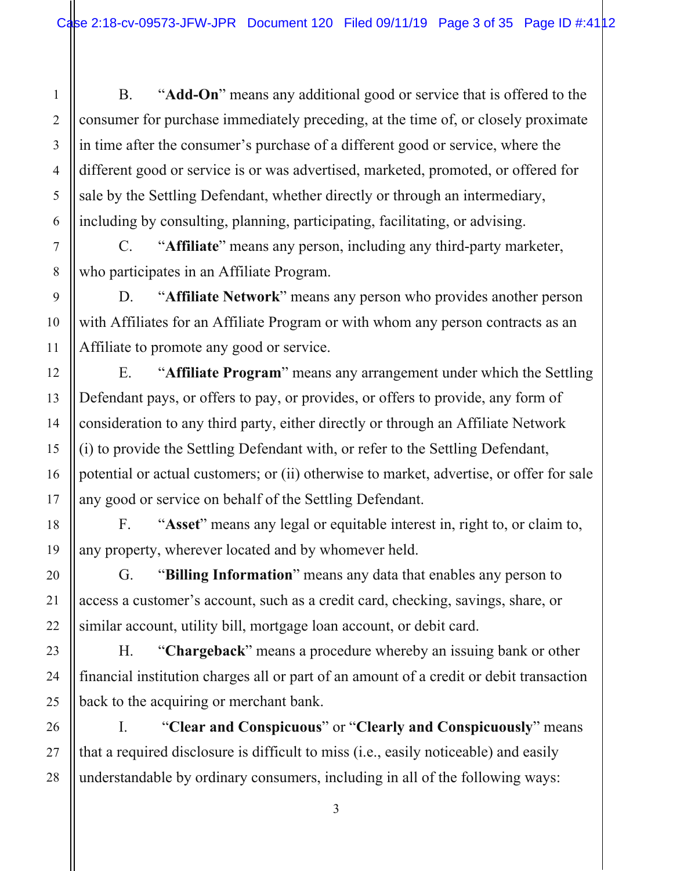B. "**Add-On**" means any additional good or service that is offered to the consumer for purchase immediately preceding, at the time of, or closely proximate in time after the consumer's purchase of a different good or service, where the different good or service is or was advertised, marketed, promoted, or offered for sale by the Settling Defendant, whether directly or through an intermediary, including by consulting, planning, participating, facilitating, or advising.

C. "**Affiliate**" means any person, including any third-party marketer, who participates in an Affiliate Program.

D. "**Affiliate Network**" means any person who provides another person with Affiliates for an Affiliate Program or with whom any person contracts as an Affiliate to promote any good or service.

E. "**Affiliate Program**" means any arrangement under which the Settling Defendant pays, or offers to pay, or provides, or offers to provide, any form of consideration to any third party, either directly or through an Affiliate Network (i) to provide the Settling Defendant with, or refer to the Settling Defendant, potential or actual customers; or (ii) otherwise to market, advertise, or offer for sale any good or service on behalf of the Settling Defendant.

F. "**Asset**" means any legal or equitable interest in, right to, or claim to, any property, wherever located and by whomever held.

G. "**Billing Information**" means any data that enables any person to access a customer's account, such as a credit card, checking, savings, share, or similar account, utility bill, mortgage loan account, or debit card.

H. "**Chargeback**" means a procedure whereby an issuing bank or other financial institution charges all or part of an amount of a credit or debit transaction back to the acquiring or merchant bank.

I. "**Clear and Conspicuous**" or "**Clearly and Conspicuously**" means that a required disclosure is difficult to miss (i.e., easily noticeable) and easily understandable by ordinary consumers, including in all of the following ways:

1

2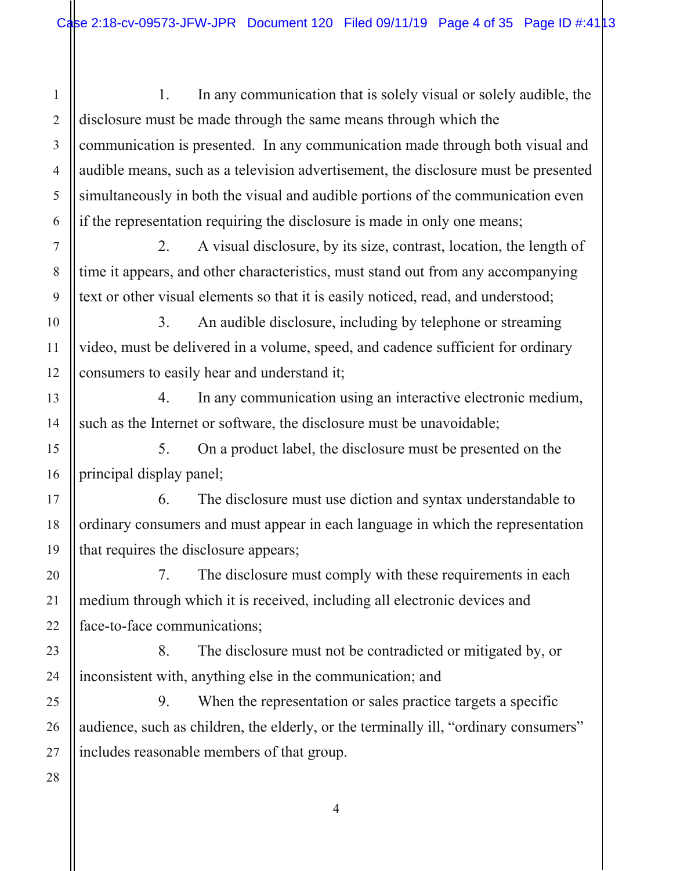1 2 3 4 5 6 1. In any communication that is solely visual or solely audible, the disclosure must be made through the same means through which the communication is presented. In any communication made through both visual and audible means, such as a television advertisement, the disclosure must be presented simultaneously in both the visual and audible portions of the communication even if the representation requiring the disclosure is made in only one means;

 2. A visual disclosure, by its size, contrast, location, the length of time it appears, and other characteristics, must stand out from any accompanying text or other visual elements so that it is easily noticed, read, and understood;

 3. An audible disclosure, including by telephone or streaming video, must be delivered in a volume, speed, and cadence sufficient for ordinary consumers to easily hear and understand it;

 4. In any communication using an interactive electronic medium, such as the Internet or software, the disclosure must be unavoidable;

 5. On a product label, the disclosure must be presented on the principal display panel;

 6. The disclosure must use diction and syntax understandable to ordinary consumers and must appear in each language in which the representation that requires the disclosure appears;

 7. The disclosure must comply with these requirements in each medium through which it is received, including all electronic devices and face-to-face communications;

 8. The disclosure must not be contradicted or mitigated by, or inconsistent with, anything else in the communication; and

 9. When the representation or sales practice targets a specific audience, such as children, the elderly, or the terminally ill, "ordinary consumers" includes reasonable members of that group.

7

8

9

10

11

12

13

14

15

16

17

18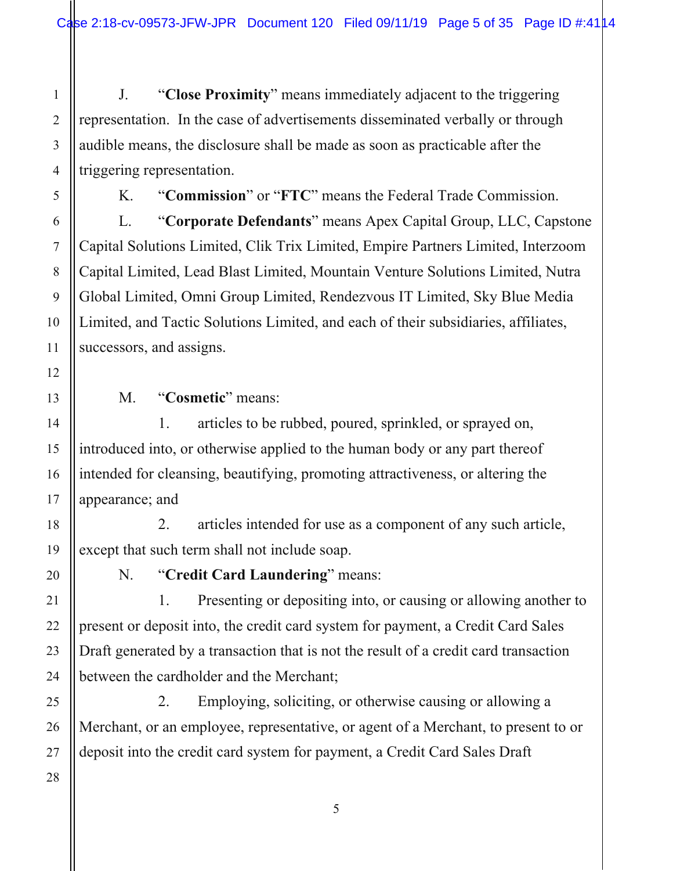J. "**Close Proximity**" means immediately adjacent to the triggering representation. In the case of advertisements disseminated verbally or through audible means, the disclosure shall be made as soon as practicable after the triggering representation.

K. "**Commission**" or "**FTC**" means the Federal Trade Commission.

L. "**Corporate Defendants**" means Apex Capital Group, LLC, Capstone Capital Solutions Limited, Clik Trix Limited, Empire Partners Limited, Interzoom Capital Limited, Lead Blast Limited, Mountain Venture Solutions Limited, Nutra Global Limited, Omni Group Limited, Rendezvous IT Limited, Sky Blue Media Limited, and Tactic Solutions Limited, and each of their subsidiaries, affiliates, successors, and assigns.

M. "**Cosmetic**" means:

 1. articles to be rubbed, poured, sprinkled, or sprayed on, introduced into, or otherwise applied to the human body or any part thereof intended for cleansing, beautifying, promoting attractiveness, or altering the appearance; and

 2. articles intended for use as a component of any such article, except that such term shall not include soap.

N. "**Credit Card Laundering**" means:

1. Presenting or depositing into, or causing or allowing another to present or deposit into, the credit card system for payment, a Credit Card Sales Draft generated by a transaction that is not the result of a credit card transaction between the cardholder and the Merchant;

2. Employing, soliciting, or otherwise causing or allowing a Merchant, or an employee, representative, or agent of a Merchant, to present to or deposit into the credit card system for payment, a Credit Card Sales Draft

1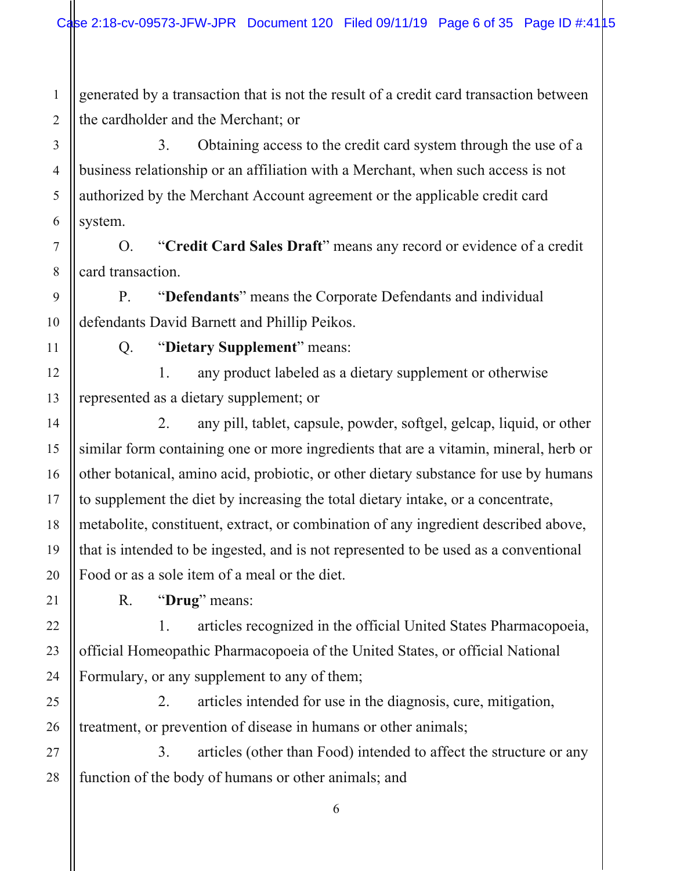1 2 generated by a transaction that is not the result of a credit card transaction between the cardholder and the Merchant; or

3. Obtaining access to the credit card system through the use of a business relationship or an affiliation with a Merchant, when such access is not authorized by the Merchant Account agreement or the applicable credit card system.

O. "**Credit Card Sales Draft**" means any record or evidence of a credit card transaction.

P. "**Defendants**" means the Corporate Defendants and individual defendants David Barnett and Phillip Peikos.

3

4

5

6

7

8

9

10

11

12

13

14

15

16

17

18

19

20

21

22

23

24

25

26

Q. "**Dietary Supplement**" means:

 1. any product labeled as a dietary supplement or otherwise represented as a dietary supplement; or

 2. any pill, tablet, capsule, powder, softgel, gelcap, liquid, or other similar form containing one or more ingredients that are a vitamin, mineral, herb or other botanical, amino acid, probiotic, or other dietary substance for use by humans to supplement the diet by increasing the total dietary intake, or a concentrate, metabolite, constituent, extract, or combination of any ingredient described above, that is intended to be ingested, and is not represented to be used as a conventional Food or as a sole item of a meal or the diet.

R. "**Drug**" means:

 1. articles recognized in the official United States Pharmacopoeia, official Homeopathic Pharmacopoeia of the United States, or official National Formulary, or any supplement to any of them;

 2. articles intended for use in the diagnosis, cure, mitigation, treatment, or prevention of disease in humans or other animals;

27 28 3. articles (other than Food) intended to affect the structure or any function of the body of humans or other animals; and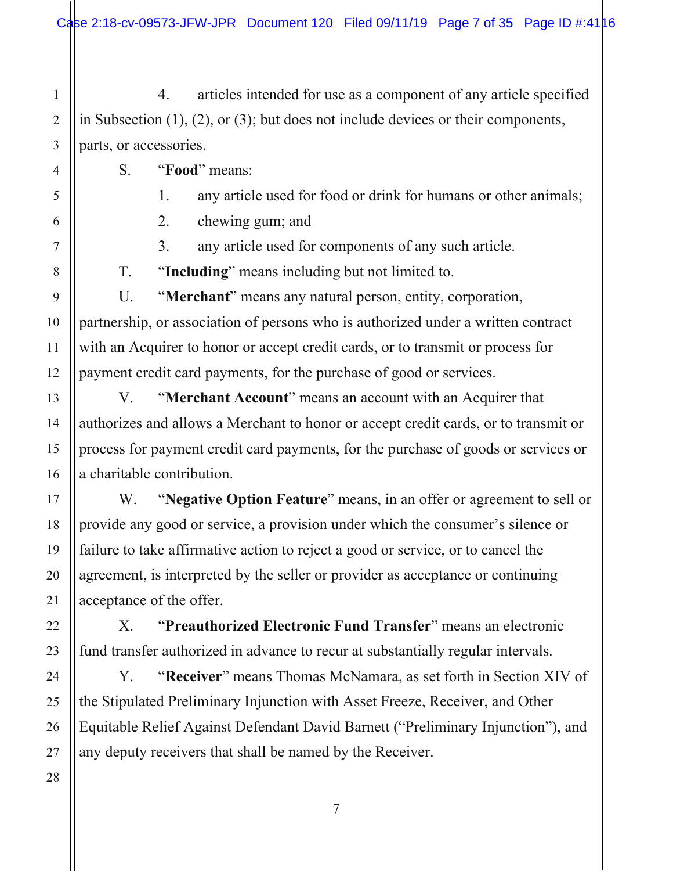1 2 3 4. articles intended for use as a component of any article specified in Subsection (1), (2), or (3); but does not include devices or their components, parts, or accessories.

S. "**Food**" means:

4

5

6

7

8

9

10

11

12

13

14

15

16

17

18

19

20

21

22

23

24

25

26

27

28

1. any article used for food or drink for humans or other animals;

2. chewing gum; and

3. any article used for components of any such article.

T. "**Including**" means including but not limited to.

U. "**Merchant**" means any natural person, entity, corporation, partnership, or association of persons who is authorized under a written contract with an Acquirer to honor or accept credit cards, or to transmit or process for payment credit card payments, for the purchase of good or services.

V. "**Merchant Account**" means an account with an Acquirer that authorizes and allows a Merchant to honor or accept credit cards, or to transmit or process for payment credit card payments, for the purchase of goods or services or a charitable contribution.

W. "**Negative Option Feature**" means, in an offer or agreement to sell or provide any good or service, a provision under which the consumer's silence or failure to take affirmative action to reject a good or service, or to cancel the agreement, is interpreted by the seller or provider as acceptance or continuing acceptance of the offer.

X. "**Preauthorized Electronic Fund Transfer**" means an electronic fund transfer authorized in advance to recur at substantially regular intervals.

Y. "**Receiver**" means Thomas McNamara, as set forth in Section XIV of the Stipulated Preliminary Injunction with Asset Freeze, Receiver, and Other Equitable Relief Against Defendant David Barnett ("Preliminary Injunction"), and any deputy receivers that shall be named by the Receiver.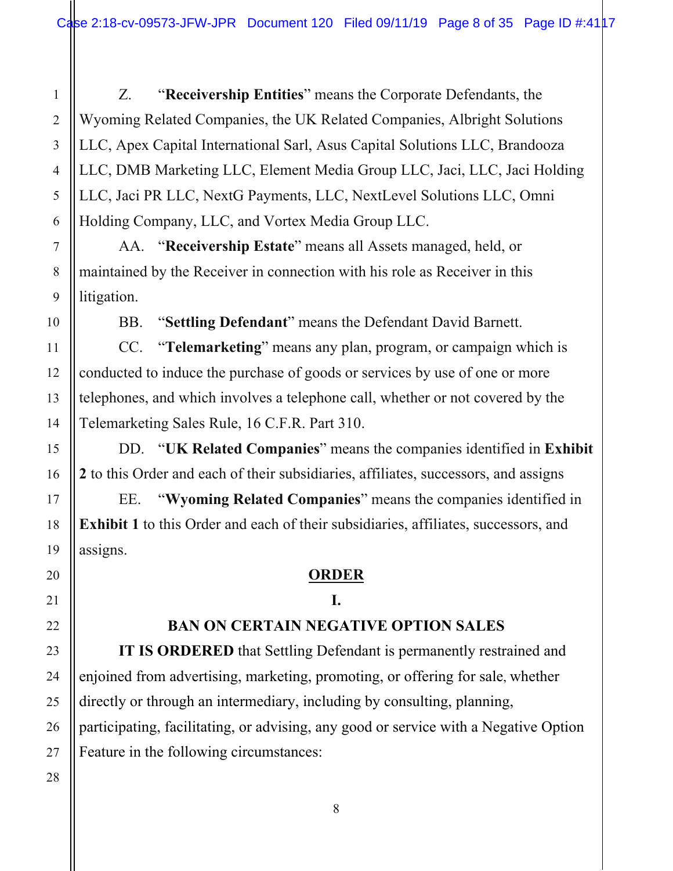Z. "**Receivership Entities**" means the Corporate Defendants, the Wyoming Related Companies, the UK Related Companies, Albright Solutions LLC, Apex Capital International Sarl, Asus Capital Solutions LLC, Brandooza LLC, DMB Marketing LLC, Element Media Group LLC, Jaci, LLC, Jaci Holding LLC, Jaci PR LLC, NextG Payments, LLC, NextLevel Solutions LLC, Omni Holding Company, LLC, and Vortex Media Group LLC.

AA. "**Receivership Estate**" means all Assets managed, held, or maintained by the Receiver in connection with his role as Receiver in this litigation.

BB. "**Settling Defendant**" means the Defendant David Barnett.

CC. "**Telemarketing**" means any plan, program, or campaign which is conducted to induce the purchase of goods or services by use of one or more telephones, and which involves a telephone call, whether or not covered by the Telemarketing Sales Rule, 16 C.F.R. Part 310.

DD. "**UK Related Companies**" means the companies identified in **Exhibit 2** to this Order and each of their subsidiaries, affiliates, successors, and assigns

EE. "**Wyoming Related Companies**" means the companies identified in **Exhibit 1** to this Order and each of their subsidiaries, affiliates, successors, and assigns.

### **ORDER**

## **I.**

## **BAN ON CERTAIN NEGATIVE OPTION SALES**

**IT IS ORDERED** that Settling Defendant is permanently restrained and enjoined from advertising, marketing, promoting, or offering for sale, whether directly or through an intermediary, including by consulting, planning, participating, facilitating, or advising, any good or service with a Negative Option Feature in the following circumstances:

1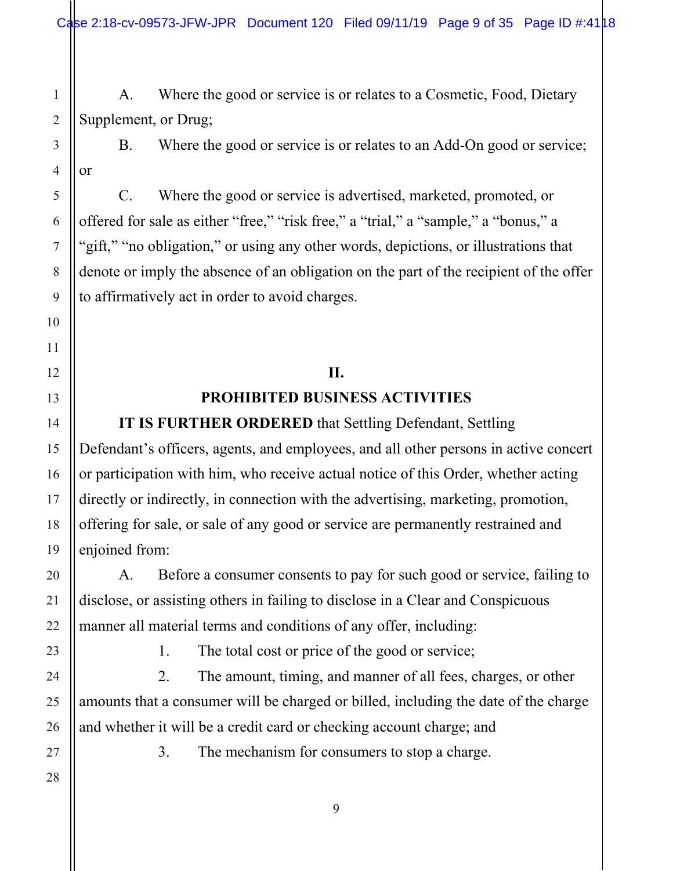Case 2:18-cv-09573-JFW-JPR Document 120 Filed 09/11/19 Page 9 of 35 Page ID #:4118

 A. Where the good or service is or relates to a Cosmetic, Food, Dietary Supplement, or Drug;

 B. Where the good or service is or relates to an Add-On good or service; or

 C. Where the good or service is advertised, marketed, promoted, or offered for sale as either "free," "risk free," a "trial," a "sample," a "bonus," a "gift," "no obligation," or using any other words, depictions, or illustrations that denote or imply the absence of an obligation on the part of the recipient of the offer to affirmatively act in order to avoid charges.

## **II. PROHIBITED BUSINESS ACTIVITIES**

**IT IS FURTHER ORDERED** that Settling Defendant, Settling Defendant's officers, agents, and employees, and all other persons in active concert or participation with him, who receive actual notice of this Order, whether acting directly or indirectly, in connection with the advertising, marketing, promotion, offering for sale, or sale of any good or service are permanently restrained and enjoined from:

 A. Before a consumer consents to pay for such good or service, failing to disclose, or assisting others in failing to disclose in a Clear and Conspicuous manner all material terms and conditions of any offer, including:

1. The total cost or price of the good or service;

 2. The amount, timing, and manner of all fees, charges, or other amounts that a consumer will be charged or billed, including the date of the charge and whether it will be a credit card or checking account charge; and

3. The mechanism for consumers to stop a charge.

26 27 28

1

2

3

4

5

6

7

8

9

10

11

12

13

14

15

16

17

18

19

20

21

22

23

24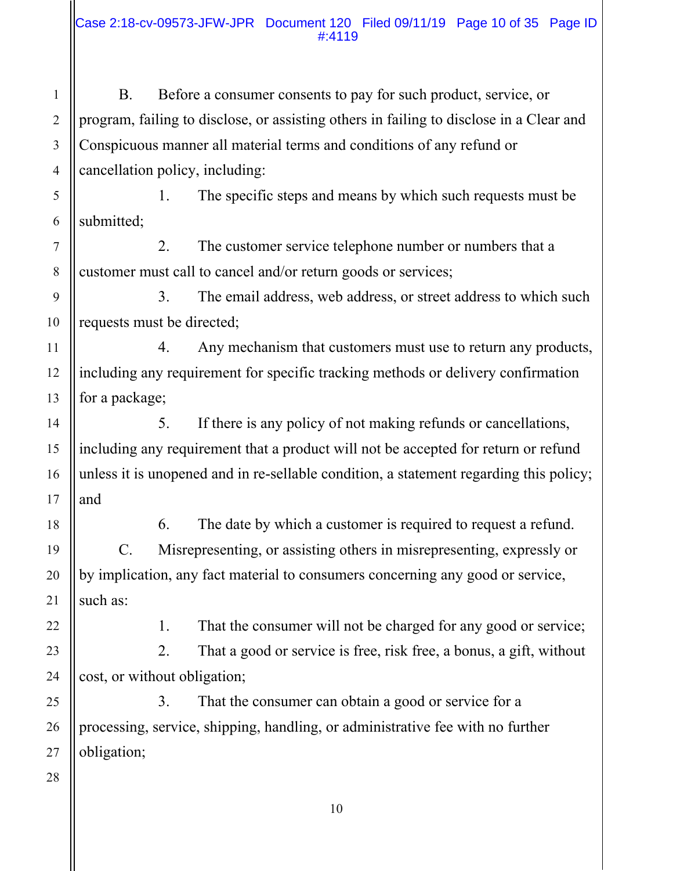B. Before a consumer consents to pay for such product, service, or program, failing to disclose, or assisting others in failing to disclose in a Clear and Conspicuous manner all material terms and conditions of any refund or cancellation policy, including:

 1. The specific steps and means by which such requests must be submitted;

 2. The customer service telephone number or numbers that a customer must call to cancel and/or return goods or services;

 3. The email address, web address, or street address to which such requests must be directed;

 4. Any mechanism that customers must use to return any products, including any requirement for specific tracking methods or delivery confirmation for a package;

 5. If there is any policy of not making refunds or cancellations, including any requirement that a product will not be accepted for return or refund unless it is unopened and in re-sellable condition, a statement regarding this policy; and

 6. The date by which a customer is required to request a refund. C. Misrepresenting, or assisting others in misrepresenting, expressly or by implication, any fact material to consumers concerning any good or service, such as:

1

2

3

4

5

6

7

8

9

10

11

12

13

14

15

16

17

18

19

20

21

22

23

24

25

26

27

28

1. That the consumer will not be charged for any good or service;

 2. That a good or service is free, risk free, a bonus, a gift, without cost, or without obligation;

 3. That the consumer can obtain a good or service for a processing, service, shipping, handling, or administrative fee with no further obligation;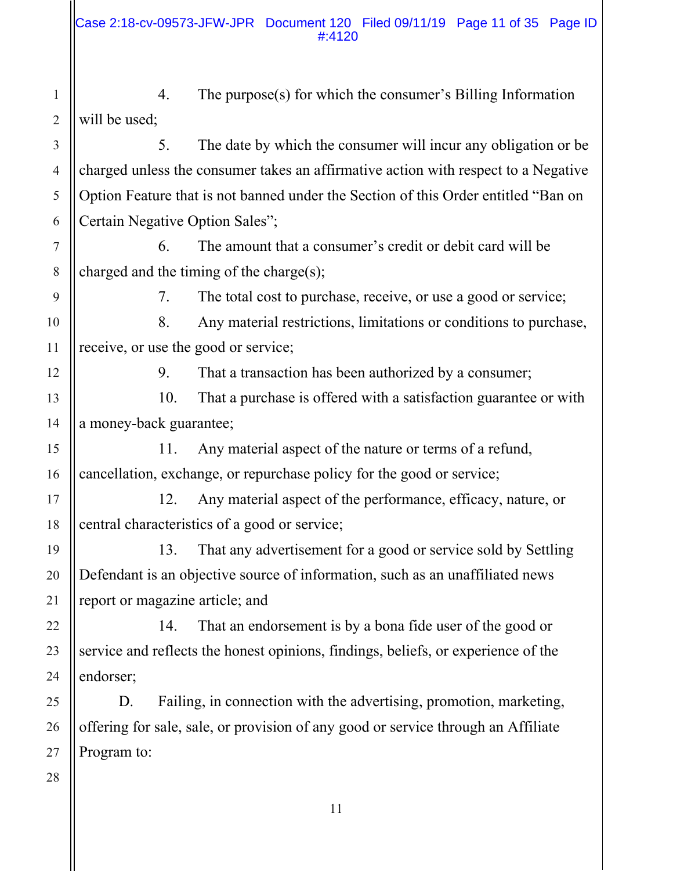1 2 4. The purpose(s) for which the consumer's Billing Information will be used;

 5. The date by which the consumer will incur any obligation or be charged unless the consumer takes an affirmative action with respect to a Negative Option Feature that is not banned under the Section of this Order entitled "Ban on Certain Negative Option Sales";

 6. The amount that a consumer's credit or debit card will be charged and the timing of the charge(s);

3

4

5

6

7

8

9

10

11

12

13

14

15

16

17

18

19

20

21

22

23

24

25

26

7. The total cost to purchase, receive, or use a good or service;

 8. Any material restrictions, limitations or conditions to purchase, receive, or use the good or service;

9. That a transaction has been authorized by a consumer;

 10. That a purchase is offered with a satisfaction guarantee or with a money-back guarantee;

 11. Any material aspect of the nature or terms of a refund, cancellation, exchange, or repurchase policy for the good or service;

 12. Any material aspect of the performance, efficacy, nature, or central characteristics of a good or service;

 13. That any advertisement for a good or service sold by Settling Defendant is an objective source of information, such as an unaffiliated news report or magazine article; and

 14. That an endorsement is by a bona fide user of the good or service and reflects the honest opinions, findings, beliefs, or experience of the endorser;

D. Failing, in connection with the advertising, promotion, marketing, offering for sale, sale, or provision of any good or service through an Affiliate Program to: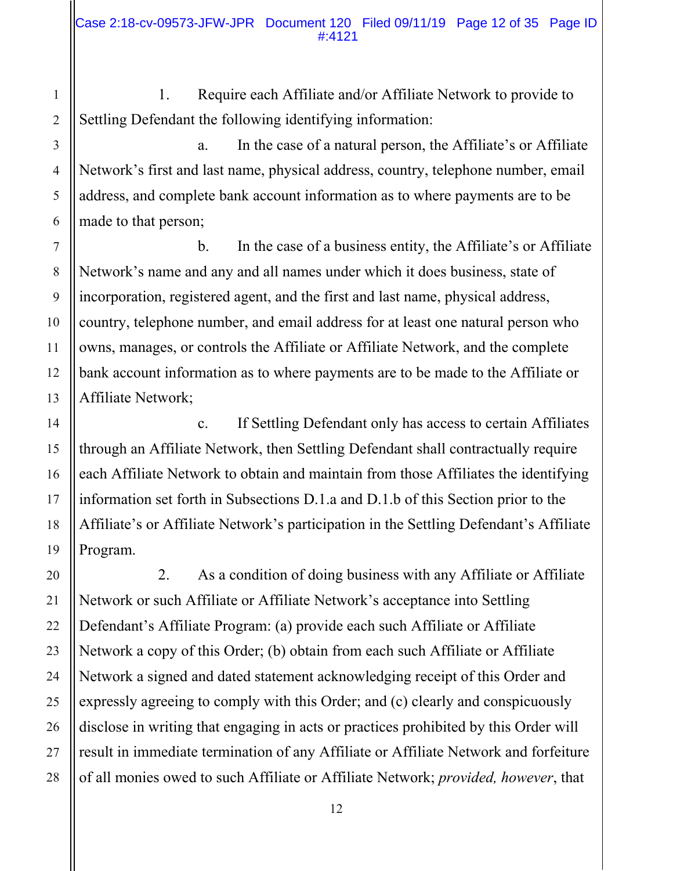1. Require each Affiliate and/or Affiliate Network to provide to Settling Defendant the following identifying information:

 a. In the case of a natural person, the Affiliate's or Affiliate Network's first and last name, physical address, country, telephone number, email address, and complete bank account information as to where payments are to be made to that person;

 b. In the case of a business entity, the Affiliate's or Affiliate Network's name and any and all names under which it does business, state of incorporation, registered agent, and the first and last name, physical address, country, telephone number, and email address for at least one natural person who owns, manages, or controls the Affiliate or Affiliate Network, and the complete bank account information as to where payments are to be made to the Affiliate or Affiliate Network;

 c. If Settling Defendant only has access to certain Affiliates through an Affiliate Network, then Settling Defendant shall contractually require each Affiliate Network to obtain and maintain from those Affiliates the identifying information set forth in Subsections D.1.a and D.1.b of this Section prior to the Affiliate's or Affiliate Network's participation in the Settling Defendant's Affiliate Program.

 2. As a condition of doing business with any Affiliate or Affiliate Network or such Affiliate or Affiliate Network's acceptance into Settling Defendant's Affiliate Program: (a) provide each such Affiliate or Affiliate Network a copy of this Order; (b) obtain from each such Affiliate or Affiliate Network a signed and dated statement acknowledging receipt of this Order and expressly agreeing to comply with this Order; and (c) clearly and conspicuously disclose in writing that engaging in acts or practices prohibited by this Order will result in immediate termination of any Affiliate or Affiliate Network and forfeiture of all monies owed to such Affiliate or Affiliate Network; *provided, however*, that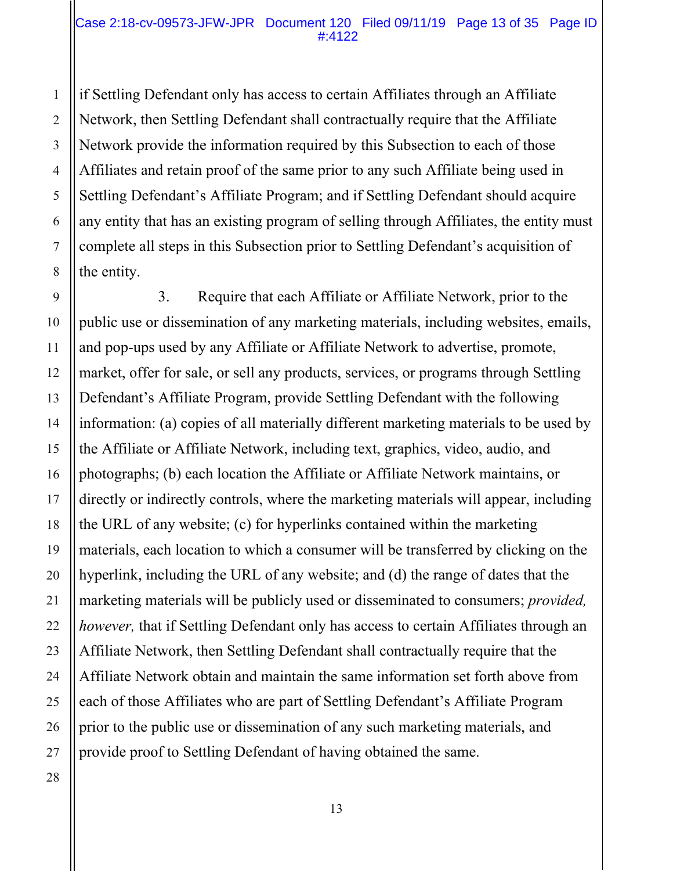#### Case 2:18-cv-09573-JFW-JPR Document 120 Filed 09/11/19 Page 13 of 35 Page ID #:4122

if Settling Defendant only has access to certain Affiliates through an Affiliate Network, then Settling Defendant shall contractually require that the Affiliate Network provide the information required by this Subsection to each of those Affiliates and retain proof of the same prior to any such Affiliate being used in Settling Defendant's Affiliate Program; and if Settling Defendant should acquire any entity that has an existing program of selling through Affiliates, the entity must complete all steps in this Subsection prior to Settling Defendant's acquisition of the entity.

 3. Require that each Affiliate or Affiliate Network, prior to the public use or dissemination of any marketing materials, including websites, emails, and pop-ups used by any Affiliate or Affiliate Network to advertise, promote, market, offer for sale, or sell any products, services, or programs through Settling Defendant's Affiliate Program, provide Settling Defendant with the following information: (a) copies of all materially different marketing materials to be used by the Affiliate or Affiliate Network, including text, graphics, video, audio, and photographs; (b) each location the Affiliate or Affiliate Network maintains, or directly or indirectly controls, where the marketing materials will appear, including the URL of any website; (c) for hyperlinks contained within the marketing materials, each location to which a consumer will be transferred by clicking on the hyperlink, including the URL of any website; and (d) the range of dates that the marketing materials will be publicly used or disseminated to consumers; *provided, however,* that if Settling Defendant only has access to certain Affiliates through an Affiliate Network, then Settling Defendant shall contractually require that the Affiliate Network obtain and maintain the same information set forth above from each of those Affiliates who are part of Settling Defendant's Affiliate Program prior to the public use or dissemination of any such marketing materials, and provide proof to Settling Defendant of having obtained the same.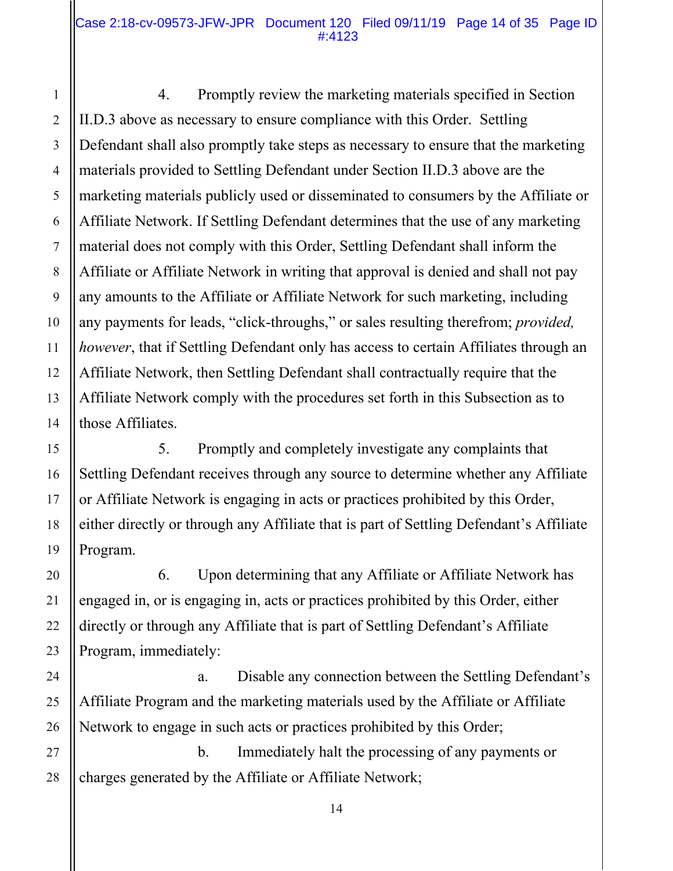#### Case 2:18-cv-09573-JFW-JPR Document 120 Filed 09/11/19 Page 14 of 35 Page ID #:4123

1

2

3

4

5

6

7

8

9

10

11

12

13

14

15

16

17

18

19

20

21

22

23

24

25

26

 4. Promptly review the marketing materials specified in Section II.D.3 above as necessary to ensure compliance with this Order. Settling Defendant shall also promptly take steps as necessary to ensure that the marketing materials provided to Settling Defendant under Section II.D.3 above are the marketing materials publicly used or disseminated to consumers by the Affiliate or Affiliate Network. If Settling Defendant determines that the use of any marketing material does not comply with this Order, Settling Defendant shall inform the Affiliate or Affiliate Network in writing that approval is denied and shall not pay any amounts to the Affiliate or Affiliate Network for such marketing, including any payments for leads, "click-throughs," or sales resulting therefrom; *provided, however*, that if Settling Defendant only has access to certain Affiliates through an Affiliate Network, then Settling Defendant shall contractually require that the Affiliate Network comply with the procedures set forth in this Subsection as to those Affiliates.

 5. Promptly and completely investigate any complaints that Settling Defendant receives through any source to determine whether any Affiliate or Affiliate Network is engaging in acts or practices prohibited by this Order, either directly or through any Affiliate that is part of Settling Defendant's Affiliate Program.

 6. Upon determining that any Affiliate or Affiliate Network has engaged in, or is engaging in, acts or practices prohibited by this Order, either directly or through any Affiliate that is part of Settling Defendant's Affiliate Program, immediately:

 a. Disable any connection between the Settling Defendant's Affiliate Program and the marketing materials used by the Affiliate or Affiliate Network to engage in such acts or practices prohibited by this Order;

27 28 b. Immediately halt the processing of any payments or charges generated by the Affiliate or Affiliate Network;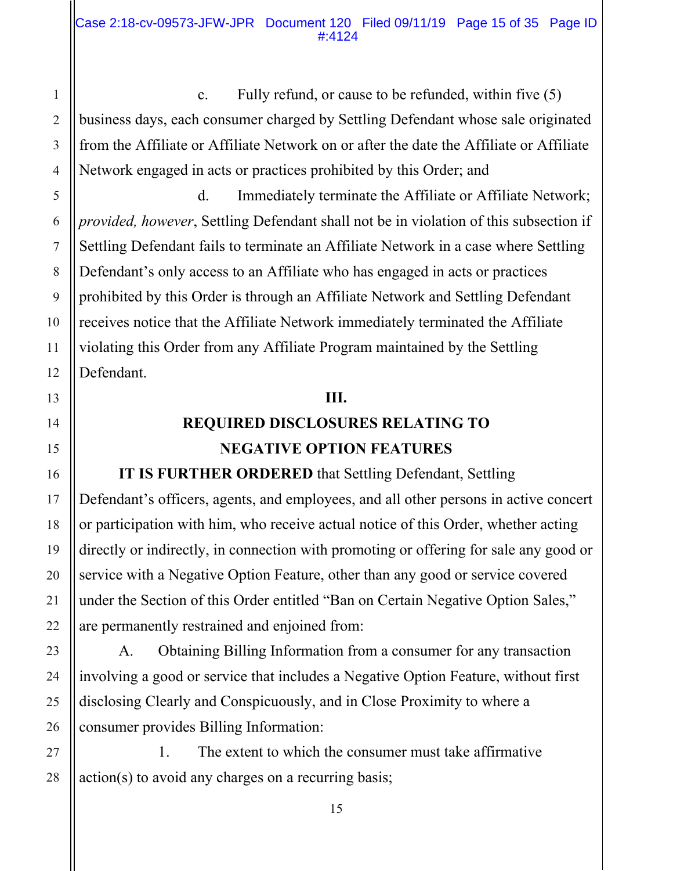c. Fully refund, or cause to be refunded, within five (5) business days, each consumer charged by Settling Defendant whose sale originated from the Affiliate or Affiliate Network on or after the date the Affiliate or Affiliate Network engaged in acts or practices prohibited by this Order; and

 d. Immediately terminate the Affiliate or Affiliate Network; *provided, however*, Settling Defendant shall not be in violation of this subsection if Settling Defendant fails to terminate an Affiliate Network in a case where Settling Defendant's only access to an Affiliate who has engaged in acts or practices prohibited by this Order is through an Affiliate Network and Settling Defendant receives notice that the Affiliate Network immediately terminated the Affiliate violating this Order from any Affiliate Program maintained by the Settling Defendant.

#### **III.**

# **REQUIRED DISCLOSURES RELATING TO NEGATIVE OPTION FEATURES**

**IT IS FURTHER ORDERED** that Settling Defendant, Settling Defendant's officers, agents, and employees, and all other persons in active concert or participation with him, who receive actual notice of this Order, whether acting directly or indirectly, in connection with promoting or offering for sale any good or service with a Negative Option Feature, other than any good or service covered under the Section of this Order entitled "Ban on Certain Negative Option Sales," are permanently restrained and enjoined from:

 A. Obtaining Billing Information from a consumer for any transaction involving a good or service that includes a Negative Option Feature, without first disclosing Clearly and Conspicuously, and in Close Proximity to where a consumer provides Billing Information:

 1. The extent to which the consumer must take affirmative action(s) to avoid any charges on a recurring basis;

1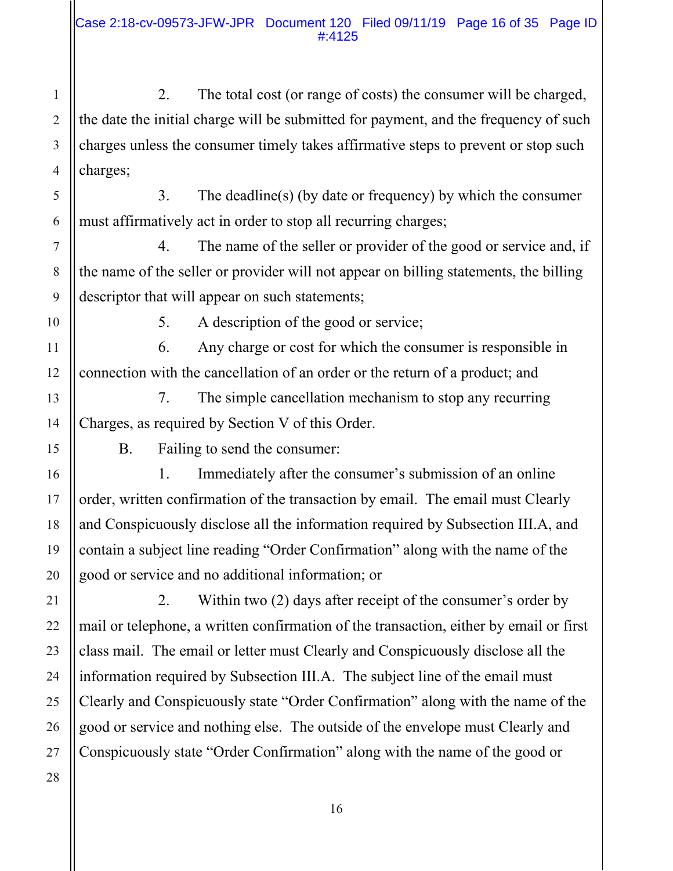2. The total cost (or range of costs) the consumer will be charged, the date the initial charge will be submitted for payment, and the frequency of such charges unless the consumer timely takes affirmative steps to prevent or stop such charges;

 3. The deadline(s) (by date or frequency) by which the consumer must affirmatively act in order to stop all recurring charges;

 4. The name of the seller or provider of the good or service and, if the name of the seller or provider will not appear on billing statements, the billing descriptor that will appear on such statements;

1

2

3

4

5

6

7

8

9

10

11

12

13

14

15

16

17

18

19

20

21

22

5. A description of the good or service;

 6. Any charge or cost for which the consumer is responsible in connection with the cancellation of an order or the return of a product; and

 7. The simple cancellation mechanism to stop any recurring Charges, as required by Section V of this Order.

B. Failing to send the consumer:

 1. Immediately after the consumer's submission of an online order, written confirmation of the transaction by email. The email must Clearly and Conspicuously disclose all the information required by Subsection III.A, and contain a subject line reading "Order Confirmation" along with the name of the good or service and no additional information; or

 2. Within two (2) days after receipt of the consumer's order by mail or telephone, a written confirmation of the transaction, either by email or first class mail. The email or letter must Clearly and Conspicuously disclose all the information required by Subsection III.A. The subject line of the email must Clearly and Conspicuously state "Order Confirmation" along with the name of the good or service and nothing else. The outside of the envelope must Clearly and Conspicuously state "Order Confirmation" along with the name of the good or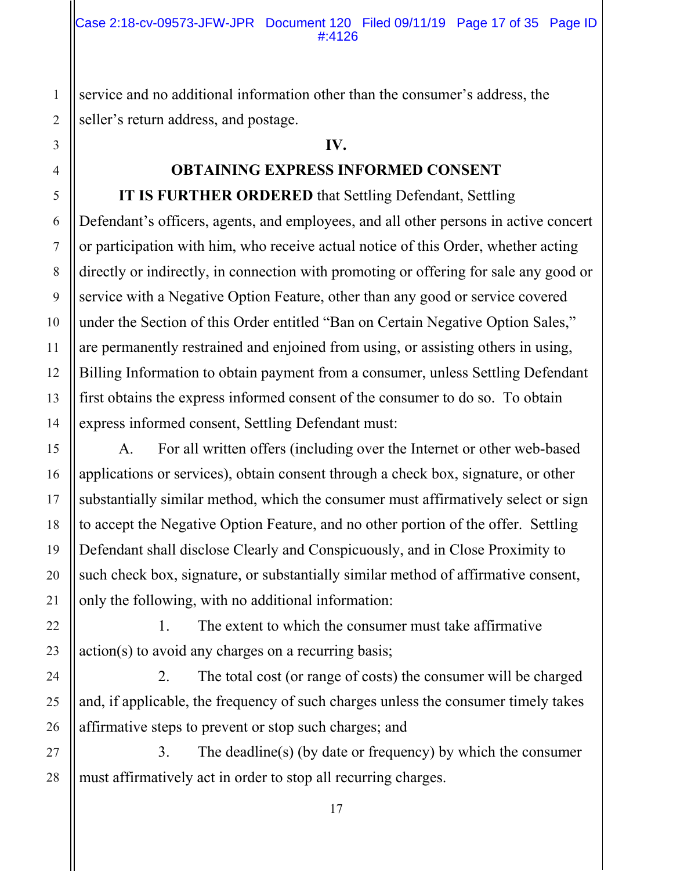service and no additional information other than the consumer's address, the seller's return address, and postage.

#### **IV.**

#### **OBTAINING EXPRESS INFORMED CONSENT**

**IT IS FURTHER ORDERED** that Settling Defendant, Settling Defendant's officers, agents, and employees, and all other persons in active concert or participation with him, who receive actual notice of this Order, whether acting directly or indirectly, in connection with promoting or offering for sale any good or service with a Negative Option Feature, other than any good or service covered under the Section of this Order entitled "Ban on Certain Negative Option Sales," are permanently restrained and enjoined from using, or assisting others in using, Billing Information to obtain payment from a consumer, unless Settling Defendant first obtains the express informed consent of the consumer to do so. To obtain express informed consent, Settling Defendant must:

 A. For all written offers (including over the Internet or other web-based applications or services), obtain consent through a check box, signature, or other substantially similar method, which the consumer must affirmatively select or sign to accept the Negative Option Feature, and no other portion of the offer. Settling Defendant shall disclose Clearly and Conspicuously, and in Close Proximity to such check box, signature, or substantially similar method of affirmative consent, only the following, with no additional information:

 1. The extent to which the consumer must take affirmative action(s) to avoid any charges on a recurring basis;

 2. The total cost (or range of costs) the consumer will be charged and, if applicable, the frequency of such charges unless the consumer timely takes affirmative steps to prevent or stop such charges; and

 3. The deadline(s) (by date or frequency) by which the consumer must affirmatively act in order to stop all recurring charges.

1

2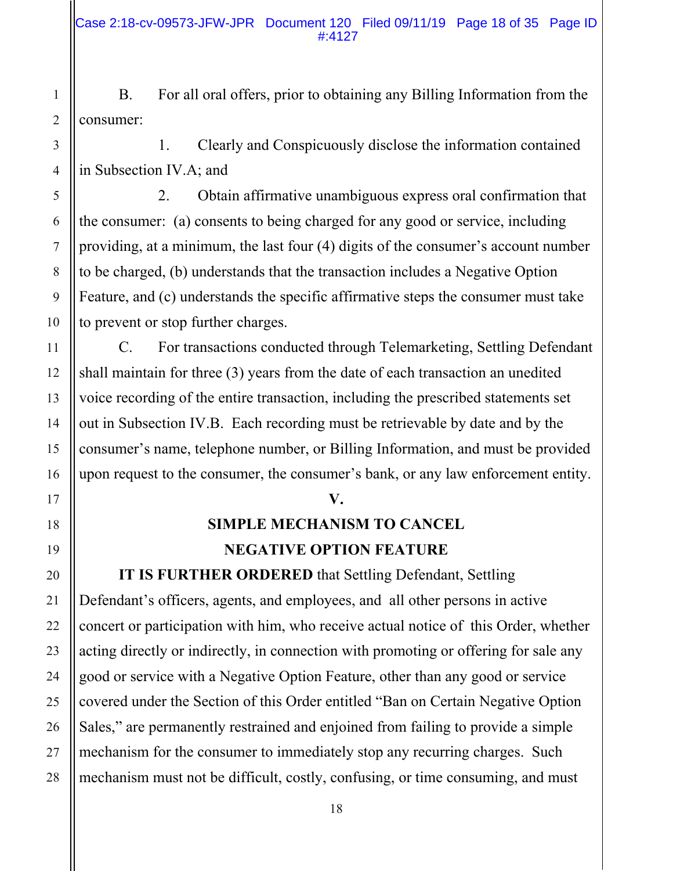B. For all oral offers, prior to obtaining any Billing Information from the consumer:

 1. Clearly and Conspicuously disclose the information contained in Subsection IV.A; and

 2. Obtain affirmative unambiguous express oral confirmation that the consumer: (a) consents to being charged for any good or service, including providing, at a minimum, the last four (4) digits of the consumer's account number to be charged, (b) understands that the transaction includes a Negative Option Feature, and (c) understands the specific affirmative steps the consumer must take to prevent or stop further charges.

 C. For transactions conducted through Telemarketing, Settling Defendant shall maintain for three (3) years from the date of each transaction an unedited voice recording of the entire transaction, including the prescribed statements set out in Subsection IV.B. Each recording must be retrievable by date and by the consumer's name, telephone number, or Billing Information, and must be provided upon request to the consumer, the consumer's bank, or any law enforcement entity.

#### **V.**

## **SIMPLE MECHANISM TO CANCEL NEGATIVE OPTION FEATURE**

**IT IS FURTHER ORDERED** that Settling Defendant, Settling Defendant's officers, agents, and employees, and all other persons in active concert or participation with him, who receive actual notice of this Order, whether acting directly or indirectly, in connection with promoting or offering for sale any good or service with a Negative Option Feature, other than any good or service covered under the Section of this Order entitled "Ban on Certain Negative Option Sales," are permanently restrained and enjoined from failing to provide a simple mechanism for the consumer to immediately stop any recurring charges. Such mechanism must not be difficult, costly, confusing, or time consuming, and must

26

27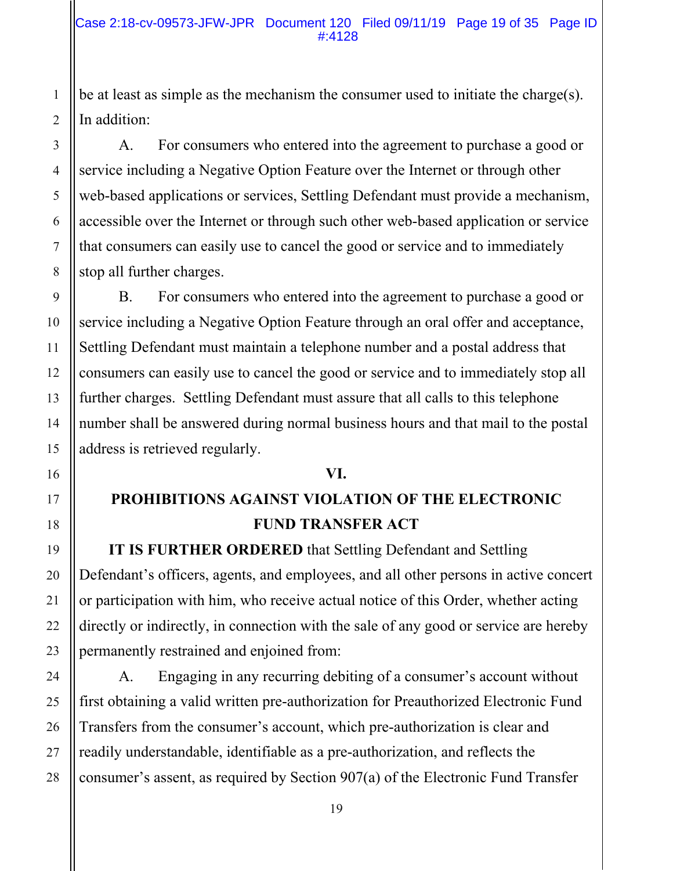be at least as simple as the mechanism the consumer used to initiate the charge(s). In addition:

 A. For consumers who entered into the agreement to purchase a good or service including a Negative Option Feature over the Internet or through other web-based applications or services, Settling Defendant must provide a mechanism, accessible over the Internet or through such other web-based application or service that consumers can easily use to cancel the good or service and to immediately stop all further charges.

 B. For consumers who entered into the agreement to purchase a good or service including a Negative Option Feature through an oral offer and acceptance, Settling Defendant must maintain a telephone number and a postal address that consumers can easily use to cancel the good or service and to immediately stop all further charges. Settling Defendant must assure that all calls to this telephone number shall be answered during normal business hours and that mail to the postal address is retrieved regularly.

#### **VI.**

# **PROHIBITIONS AGAINST VIOLATION OF THE ELECTRONIC FUND TRANSFER ACT**

**IT IS FURTHER ORDERED** that Settling Defendant and Settling Defendant's officers, agents, and employees, and all other persons in active concert or participation with him, who receive actual notice of this Order, whether acting directly or indirectly, in connection with the sale of any good or service are hereby permanently restrained and enjoined from:

A. Engaging in any recurring debiting of a consumer's account without first obtaining a valid written pre-authorization for Preauthorized Electronic Fund Transfers from the consumer's account, which pre-authorization is clear and readily understandable, identifiable as a pre-authorization, and reflects the consumer's assent, as required by Section 907(a) of the Electronic Fund Transfer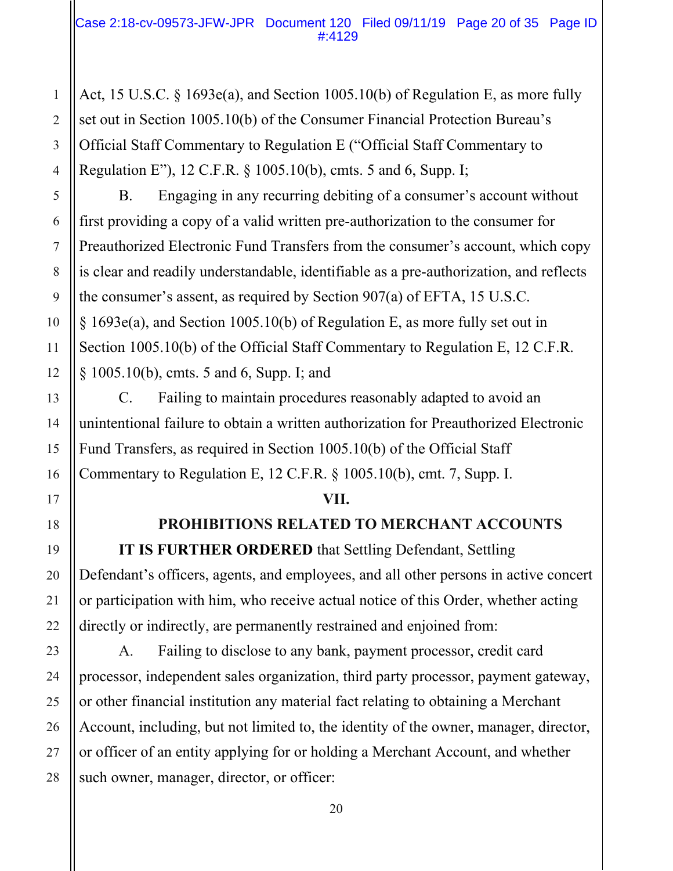Act, 15 U.S.C. § 1693e(a), and Section 1005.10(b) of Regulation E, as more fully set out in Section 1005.10(b) of the Consumer Financial Protection Bureau's Official Staff Commentary to Regulation E ("Official Staff Commentary to Regulation E"), 12 C.F.R. § 1005.10(b), cmts. 5 and 6, Supp. I;

 B. Engaging in any recurring debiting of a consumer's account without first providing a copy of a valid written pre-authorization to the consumer for Preauthorized Electronic Fund Transfers from the consumer's account, which copy is clear and readily understandable, identifiable as a pre-authorization, and reflects the consumer's assent, as required by Section 907(a) of EFTA, 15 U.S.C. § 1693e(a), and Section 1005.10(b) of Regulation E, as more fully set out in Section 1005.10(b) of the Official Staff Commentary to Regulation E, 12 C.F.R. § 1005.10(b), cmts. 5 and 6, Supp. I; and

C. Failing to maintain procedures reasonably adapted to avoid an unintentional failure to obtain a written authorization for Preauthorized Electronic Fund Transfers, as required in Section 1005.10(b) of the Official Staff Commentary to Regulation E, 12 C.F.R. § 1005.10(b), cmt. 7, Supp. I.

#### **VII.**

## **PROHIBITIONS RELATED TO MERCHANT ACCOUNTS**

**IT IS FURTHER ORDERED** that Settling Defendant, Settling Defendant's officers, agents, and employees, and all other persons in active concert or participation with him, who receive actual notice of this Order, whether acting directly or indirectly, are permanently restrained and enjoined from:

A. Failing to disclose to any bank, payment processor, credit card processor, independent sales organization, third party processor, payment gateway, or other financial institution any material fact relating to obtaining a Merchant Account, including, but not limited to, the identity of the owner, manager, director, or officer of an entity applying for or holding a Merchant Account, and whether such owner, manager, director, or officer: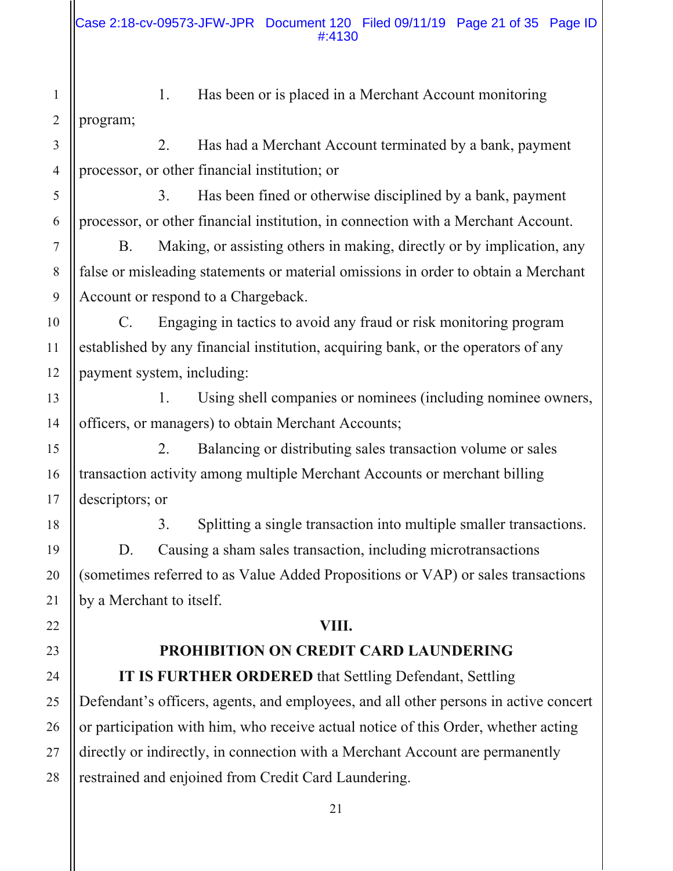- 1. Has been or is placed in a Merchant Account monitoring program;
- 2. Has had a Merchant Account terminated by a bank, payment processor, or other financial institution; or

 3. Has been fined or otherwise disciplined by a bank, payment processor, or other financial institution, in connection with a Merchant Account.

B. Making, or assisting others in making, directly or by implication, any false or misleading statements or material omissions in order to obtain a Merchant Account or respond to a Chargeback.

C. Engaging in tactics to avoid any fraud or risk monitoring program established by any financial institution, acquiring bank, or the operators of any payment system, including:

1. Using shell companies or nominees (including nominee owners, officers, or managers) to obtain Merchant Accounts;

2. Balancing or distributing sales transaction volume or sales transaction activity among multiple Merchant Accounts or merchant billing descriptors; or

3. Splitting a single transaction into multiple smaller transactions. D. Causing a sham sales transaction, including microtransactions (sometimes referred to as Value Added Propositions or VAP) or sales transactions by a Merchant to itself.

#### **VIII.**

## **PROHIBITION ON CREDIT CARD LAUNDERING**

**IT IS FURTHER ORDERED** that Settling Defendant, Settling Defendant's officers, agents, and employees, and all other persons in active concert or participation with him, who receive actual notice of this Order, whether acting directly or indirectly, in connection with a Merchant Account are permanently restrained and enjoined from Credit Card Laundering.

1

2

3

4

5

6

7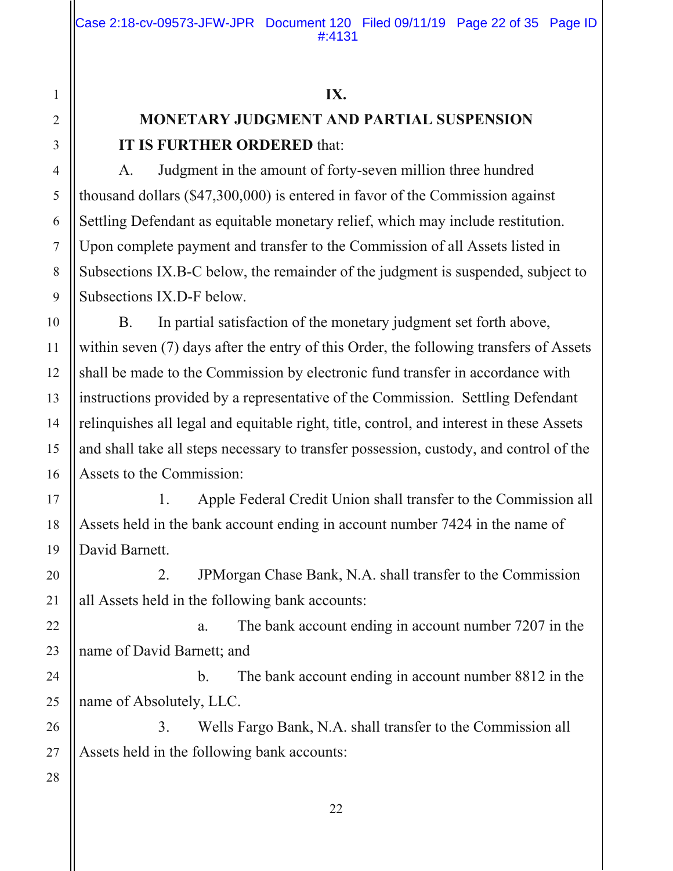#### **IX.**

# **MONETARY JUDGMENT AND PARTIAL SUSPENSION IT IS FURTHER ORDERED** that:

 A. Judgment in the amount of forty-seven million three hundred thousand dollars (\$47,300,000) is entered in favor of the Commission against Settling Defendant as equitable monetary relief, which may include restitution. Upon complete payment and transfer to the Commission of all Assets listed in Subsections IX.B-C below, the remainder of the judgment is suspended, subject to Subsections IX.D-F below.

B. In partial satisfaction of the monetary judgment set forth above, within seven (7) days after the entry of this Order, the following transfers of Assets shall be made to the Commission by electronic fund transfer in accordance with instructions provided by a representative of the Commission. Settling Defendant relinquishes all legal and equitable right, title, control, and interest in these Assets and shall take all steps necessary to transfer possession, custody, and control of the Assets to the Commission:

 1. Apple Federal Credit Union shall transfer to the Commission all Assets held in the bank account ending in account number 7424 in the name of David Barnett.

2. JPMorgan Chase Bank, N.A. shall transfer to the Commission all Assets held in the following bank accounts:

 a. The bank account ending in account number 7207 in the name of David Barnett; and

 b. The bank account ending in account number 8812 in the name of Absolutely, LLC.

 3. Wells Fargo Bank, N.A. shall transfer to the Commission all Assets held in the following bank accounts: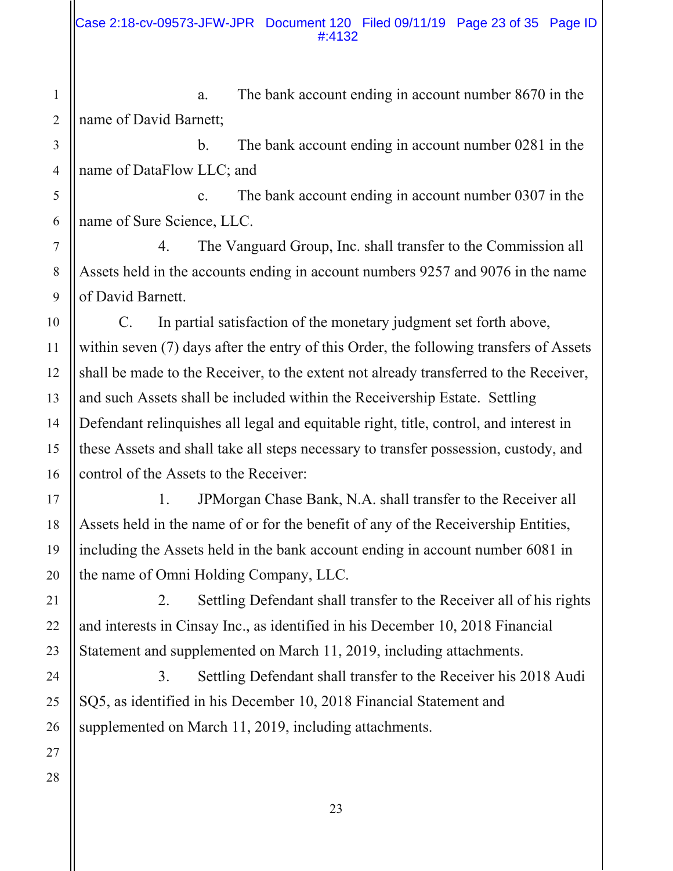a. The bank account ending in account number 8670 in the name of David Barnett;

b. The bank account ending in account number 0281 in the name of DataFlow LLC; and

c. The bank account ending in account number 0307 in the name of Sure Science, LLC.

 4. The Vanguard Group, Inc. shall transfer to the Commission all Assets held in the accounts ending in account numbers 9257 and 9076 in the name of David Barnett.

C. In partial satisfaction of the monetary judgment set forth above, within seven (7) days after the entry of this Order, the following transfers of Assets shall be made to the Receiver, to the extent not already transferred to the Receiver, and such Assets shall be included within the Receivership Estate. Settling Defendant relinquishes all legal and equitable right, title, control, and interest in these Assets and shall take all steps necessary to transfer possession, custody, and control of the Assets to the Receiver:

 1. JPMorgan Chase Bank, N.A. shall transfer to the Receiver all Assets held in the name of or for the benefit of any of the Receivership Entities, including the Assets held in the bank account ending in account number 6081 in the name of Omni Holding Company, LLC.

 2. Settling Defendant shall transfer to the Receiver all of his rights and interests in Cinsay Inc., as identified in his December 10, 2018 Financial Statement and supplemented on March 11, 2019, including attachments.

 3. Settling Defendant shall transfer to the Receiver his 2018 Audi SQ5, as identified in his December 10, 2018 Financial Statement and supplemented on March 11, 2019, including attachments.

1

2

3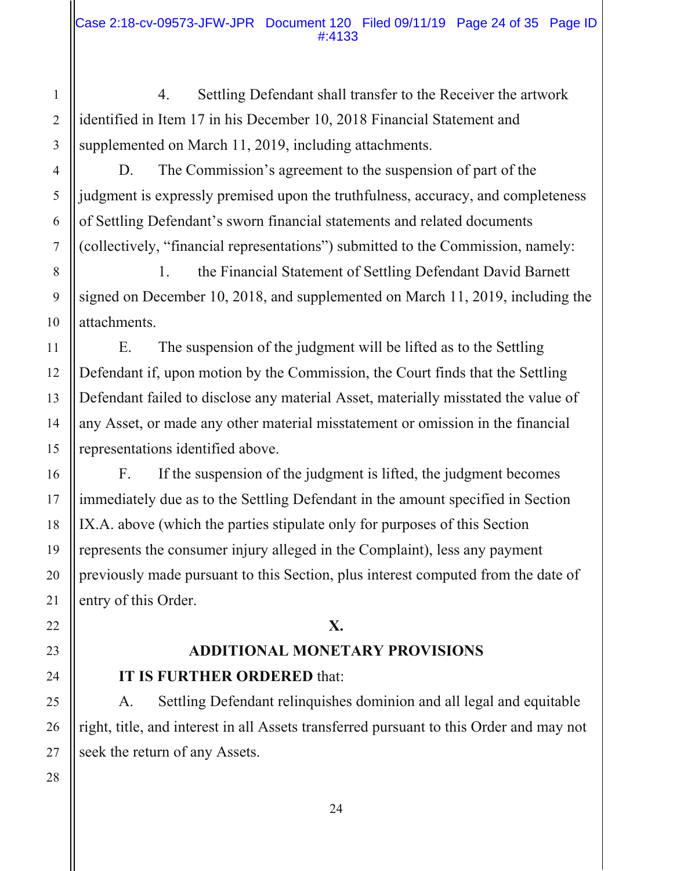4. Settling Defendant shall transfer to the Receiver the artwork identified in Item 17 in his December 10, 2018 Financial Statement and supplemented on March 11, 2019, including attachments.

 D. The Commission's agreement to the suspension of part of the judgment is expressly premised upon the truthfulness, accuracy, and completeness of Settling Defendant's sworn financial statements and related documents (collectively, "financial representations") submitted to the Commission, namely:

 1. the Financial Statement of Settling Defendant David Barnett signed on December 10, 2018, and supplemented on March 11, 2019, including the attachments.

 E. The suspension of the judgment will be lifted as to the Settling Defendant if, upon motion by the Commission, the Court finds that the Settling Defendant failed to disclose any material Asset, materially misstated the value of any Asset, or made any other material misstatement or omission in the financial representations identified above.

 F. If the suspension of the judgment is lifted, the judgment becomes immediately due as to the Settling Defendant in the amount specified in Section IX.A. above (which the parties stipulate only for purposes of this Section represents the consumer injury alleged in the Complaint), less any payment previously made pursuant to this Section, plus interest computed from the date of entry of this Order.

#### **X.**

## **ADDITIONAL MONETARY PROVISIONS IT IS FURTHER ORDERED** that:

A. Settling Defendant relinquishes dominion and all legal and equitable right, title, and interest in all Assets transferred pursuant to this Order and may not seek the return of any Assets.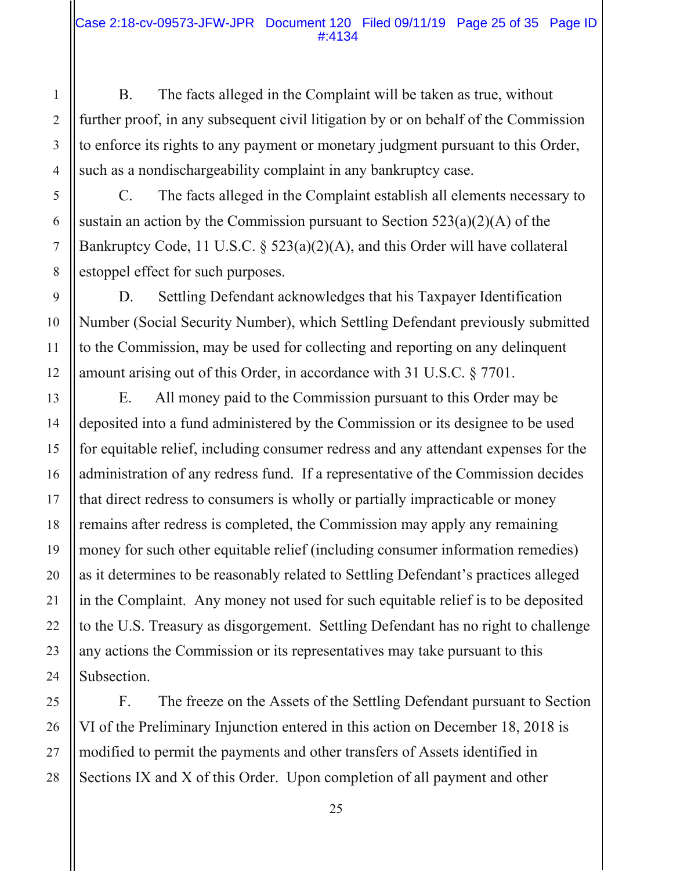B. The facts alleged in the Complaint will be taken as true, without further proof, in any subsequent civil litigation by or on behalf of the Commission to enforce its rights to any payment or monetary judgment pursuant to this Order, such as a nondischargeability complaint in any bankruptcy case.

 C. The facts alleged in the Complaint establish all elements necessary to sustain an action by the Commission pursuant to Section  $523(a)(2)(A)$  of the Bankruptcy Code, 11 U.S.C. § 523(a)(2)(A), and this Order will have collateral estoppel effect for such purposes.

 D. Settling Defendant acknowledges that his Taxpayer Identification Number (Social Security Number), which Settling Defendant previously submitted to the Commission, may be used for collecting and reporting on any delinquent amount arising out of this Order, in accordance with 31 U.S.C. § 7701.

 E. All money paid to the Commission pursuant to this Order may be deposited into a fund administered by the Commission or its designee to be used for equitable relief, including consumer redress and any attendant expenses for the administration of any redress fund. If a representative of the Commission decides that direct redress to consumers is wholly or partially impracticable or money remains after redress is completed, the Commission may apply any remaining money for such other equitable relief (including consumer information remedies) as it determines to be reasonably related to Settling Defendant's practices alleged in the Complaint. Any money not used for such equitable relief is to be deposited to the U.S. Treasury as disgorgement. Settling Defendant has no right to challenge any actions the Commission or its representatives may take pursuant to this Subsection.

 F. The freeze on the Assets of the Settling Defendant pursuant to Section VI of the Preliminary Injunction entered in this action on December 18, 2018 is modified to permit the payments and other transfers of Assets identified in Sections IX and X of this Order. Upon completion of all payment and other

28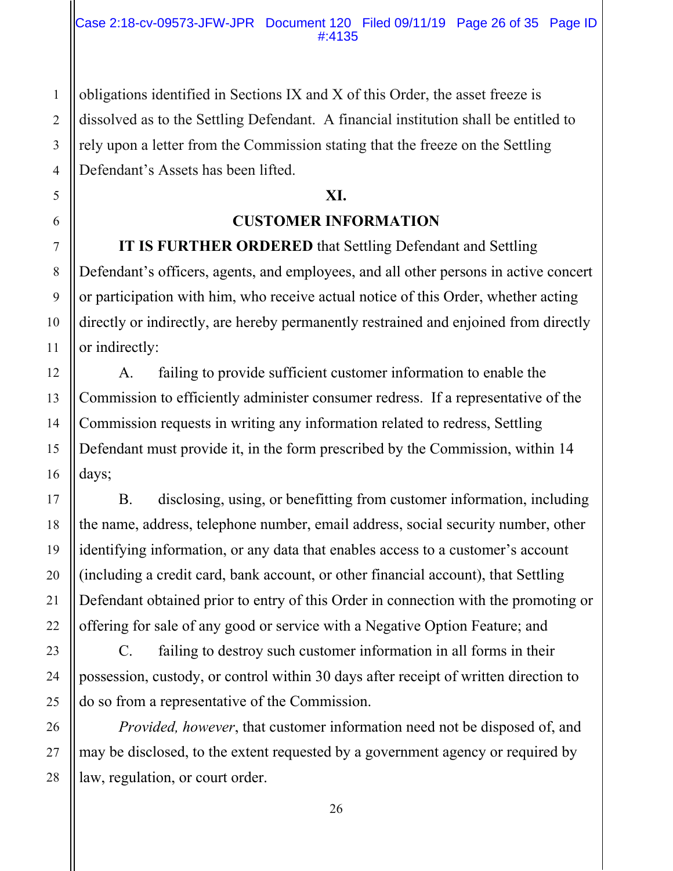obligations identified in Sections IX and X of this Order, the asset freeze is dissolved as to the Settling Defendant. A financial institution shall be entitled to rely upon a letter from the Commission stating that the freeze on the Settling Defendant's Assets has been lifted.

### **XI.**

## **CUSTOMER INFORMATION**

**IT IS FURTHER ORDERED** that Settling Defendant and Settling Defendant's officers, agents, and employees, and all other persons in active concert or participation with him, who receive actual notice of this Order, whether acting directly or indirectly, are hereby permanently restrained and enjoined from directly or indirectly:

 A. failing to provide sufficient customer information to enable the Commission to efficiently administer consumer redress. If a representative of the Commission requests in writing any information related to redress, Settling Defendant must provide it, in the form prescribed by the Commission, within 14 days;

 B. disclosing, using, or benefitting from customer information, including the name, address, telephone number, email address, social security number, other identifying information, or any data that enables access to a customer's account (including a credit card, bank account, or other financial account), that Settling Defendant obtained prior to entry of this Order in connection with the promoting or offering for sale of any good or service with a Negative Option Feature; and

 C. failing to destroy such customer information in all forms in their possession, custody, or control within 30 days after receipt of written direction to do so from a representative of the Commission.

*Provided, however*, that customer information need not be disposed of, and may be disclosed, to the extent requested by a government agency or required by law, regulation, or court order.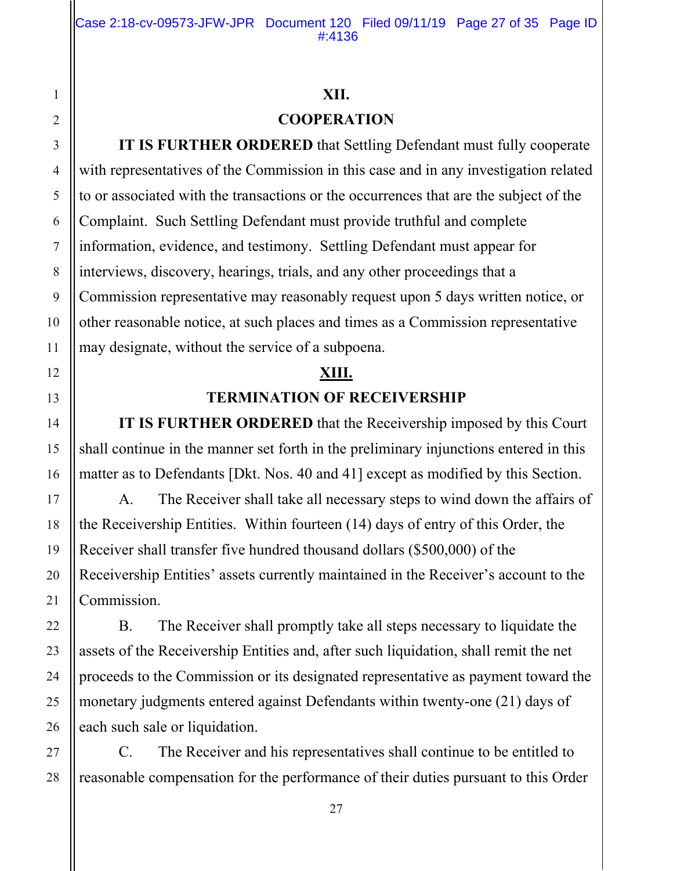#### **XII.**

### **COOPERATION**

**IT IS FURTHER ORDERED** that Settling Defendant must fully cooperate with representatives of the Commission in this case and in any investigation related to or associated with the transactions or the occurrences that are the subject of the Complaint. Such Settling Defendant must provide truthful and complete information, evidence, and testimony. Settling Defendant must appear for interviews, discovery, hearings, trials, and any other proceedings that a Commission representative may reasonably request upon 5 days written notice, or other reasonable notice, at such places and times as a Commission representative may designate, without the service of a subpoena.

# **XIII.**

### **TERMINATION OF RECEIVERSHIP**

**IT IS FURTHER ORDERED** that the Receivership imposed by this Court shall continue in the manner set forth in the preliminary injunctions entered in this matter as to Defendants [Dkt. Nos. 40 and 41] except as modified by this Section.

 A. The Receiver shall take all necessary steps to wind down the affairs of the Receivership Entities. Within fourteen (14) days of entry of this Order, the Receiver shall transfer five hundred thousand dollars (\$500,000) of the Receivership Entities' assets currently maintained in the Receiver's account to the Commission.

 B. The Receiver shall promptly take all steps necessary to liquidate the assets of the Receivership Entities and, after such liquidation, shall remit the net proceeds to the Commission or its designated representative as payment toward the monetary judgments entered against Defendants within twenty-one (21) days of each such sale or liquidation.

 C. The Receiver and his representatives shall continue to be entitled to reasonable compensation for the performance of their duties pursuant to this Order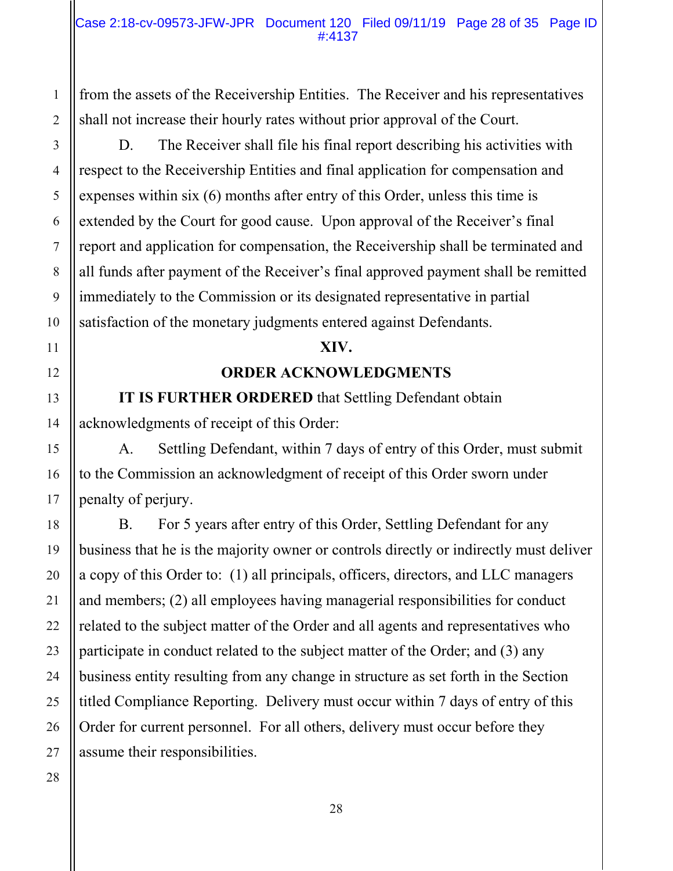from the assets of the Receivership Entities. The Receiver and his representatives shall not increase their hourly rates without prior approval of the Court.

 D. The Receiver shall file his final report describing his activities with respect to the Receivership Entities and final application for compensation and expenses within six (6) months after entry of this Order, unless this time is extended by the Court for good cause. Upon approval of the Receiver's final report and application for compensation, the Receivership shall be terminated and all funds after payment of the Receiver's final approved payment shall be remitted immediately to the Commission or its designated representative in partial satisfaction of the monetary judgments entered against Defendants.

#### **XIV.**

#### **ORDER ACKNOWLEDGMENTS**

**IT IS FURTHER ORDERED** that Settling Defendant obtain acknowledgments of receipt of this Order:

 A. Settling Defendant, within 7 days of entry of this Order, must submit to the Commission an acknowledgment of receipt of this Order sworn under penalty of perjury.

 B. For 5 years after entry of this Order, Settling Defendant for any business that he is the majority owner or controls directly or indirectly must deliver a copy of this Order to: (1) all principals, officers, directors, and LLC managers and members; (2) all employees having managerial responsibilities for conduct related to the subject matter of the Order and all agents and representatives who participate in conduct related to the subject matter of the Order; and (3) any business entity resulting from any change in structure as set forth in the Section titled Compliance Reporting. Delivery must occur within 7 days of entry of this Order for current personnel. For all others, delivery must occur before they assume their responsibilities.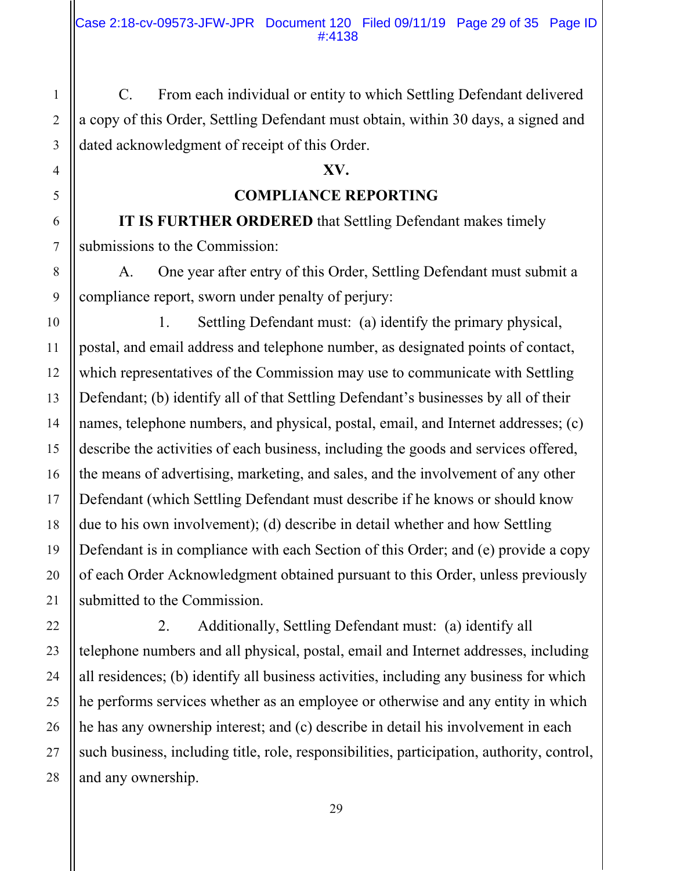C. From each individual or entity to which Settling Defendant delivered a copy of this Order, Settling Defendant must obtain, within 30 days, a signed and dated acknowledgment of receipt of this Order.

#### **XV.**

**COMPLIANCE REPORTING** 

**IT IS FURTHER ORDERED** that Settling Defendant makes timely submissions to the Commission:

 A. One year after entry of this Order, Settling Defendant must submit a compliance report, sworn under penalty of perjury:

 1. Settling Defendant must: (a) identify the primary physical, postal, and email address and telephone number, as designated points of contact, which representatives of the Commission may use to communicate with Settling Defendant; (b) identify all of that Settling Defendant's businesses by all of their names, telephone numbers, and physical, postal, email, and Internet addresses; (c) describe the activities of each business, including the goods and services offered, the means of advertising, marketing, and sales, and the involvement of any other Defendant (which Settling Defendant must describe if he knows or should know due to his own involvement); (d) describe in detail whether and how Settling Defendant is in compliance with each Section of this Order; and (e) provide a copy of each Order Acknowledgment obtained pursuant to this Order, unless previously submitted to the Commission.

 2. Additionally, Settling Defendant must: (a) identify all telephone numbers and all physical, postal, email and Internet addresses, including all residences; (b) identify all business activities, including any business for which he performs services whether as an employee or otherwise and any entity in which he has any ownership interest; and (c) describe in detail his involvement in each such business, including title, role, responsibilities, participation, authority, control, and any ownership.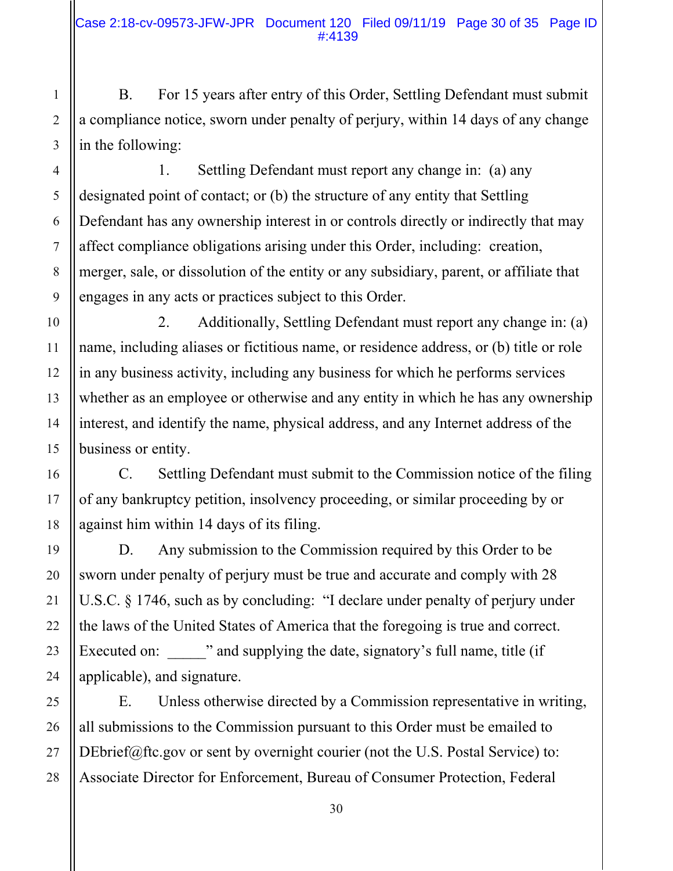B. For 15 years after entry of this Order, Settling Defendant must submit a compliance notice, sworn under penalty of perjury, within 14 days of any change in the following:

 1. Settling Defendant must report any change in: (a) any designated point of contact; or (b) the structure of any entity that Settling Defendant has any ownership interest in or controls directly or indirectly that may affect compliance obligations arising under this Order, including: creation, merger, sale, or dissolution of the entity or any subsidiary, parent, or affiliate that engages in any acts or practices subject to this Order.

 2. Additionally, Settling Defendant must report any change in: (a) name, including aliases or fictitious name, or residence address, or (b) title or role in any business activity, including any business for which he performs services whether as an employee or otherwise and any entity in which he has any ownership interest, and identify the name, physical address, and any Internet address of the business or entity.

 C. Settling Defendant must submit to the Commission notice of the filing of any bankruptcy petition, insolvency proceeding, or similar proceeding by or against him within 14 days of its filing.

 D. Any submission to the Commission required by this Order to be sworn under penalty of perjury must be true and accurate and comply with 28 U.S.C. § 1746, such as by concluding: "I declare under penalty of perjury under the laws of the United States of America that the foregoing is true and correct. Executed on:  $\cdots$  and supplying the date, signatory's full name, title (if applicable), and signature.

 E. Unless otherwise directed by a Commission representative in writing, all submissions to the Commission pursuant to this Order must be emailed to DEbrief@ftc.gov or sent by overnight courier (not the U.S. Postal Service) to: Associate Director for Enforcement, Bureau of Consumer Protection, Federal

1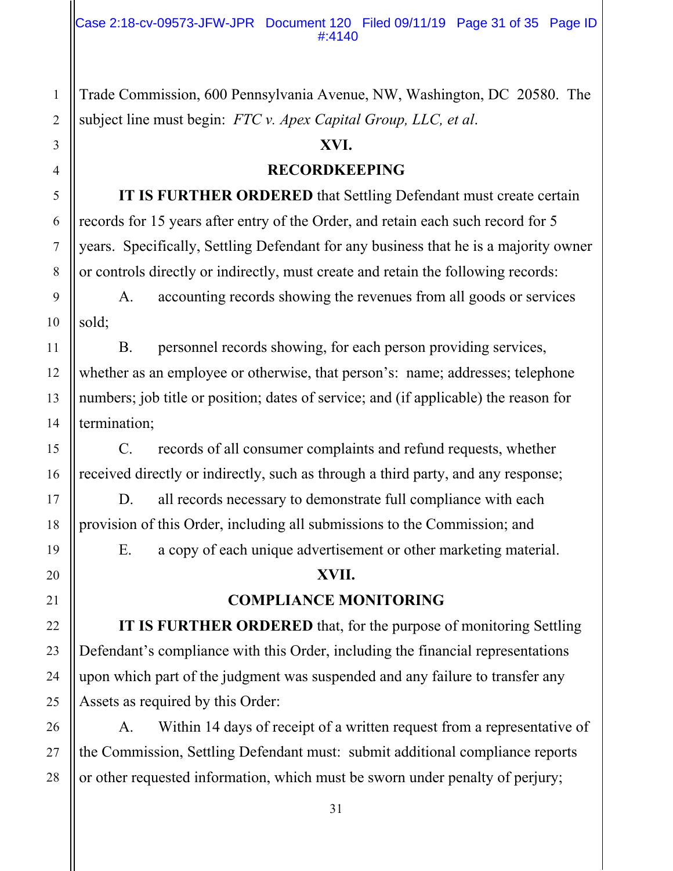Trade Commission, 600 Pennsylvania Avenue, NW, Washington, DC 20580. The subject line must begin: *FTC v. Apex Capital Group, LLC, et al*.

#### **XVI.**

#### **RECORDKEEPING**

**IT IS FURTHER ORDERED** that Settling Defendant must create certain records for 15 years after entry of the Order, and retain each such record for 5 years. Specifically, Settling Defendant for any business that he is a majority owner or controls directly or indirectly, must create and retain the following records:

 A. accounting records showing the revenues from all goods or services sold;

 B. personnel records showing, for each person providing services, whether as an employee or otherwise, that person's: name; addresses; telephone numbers; job title or position; dates of service; and (if applicable) the reason for termination;

 C. records of all consumer complaints and refund requests, whether received directly or indirectly, such as through a third party, and any response;

 D. all records necessary to demonstrate full compliance with each provision of this Order, including all submissions to the Commission; and

E. a copy of each unique advertisement or other marketing material.

#### **XVII.**

### **COMPLIANCE MONITORING**

**IT IS FURTHER ORDERED** that, for the purpose of monitoring Settling Defendant's compliance with this Order, including the financial representations upon which part of the judgment was suspended and any failure to transfer any Assets as required by this Order:

 A. Within 14 days of receipt of a written request from a representative of the Commission, Settling Defendant must: submit additional compliance reports or other requested information, which must be sworn under penalty of perjury;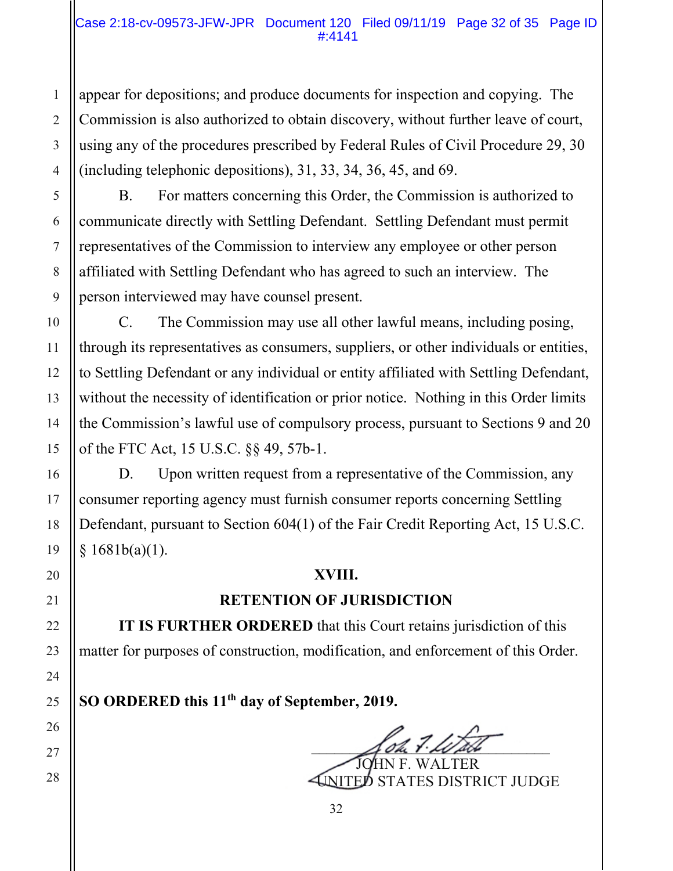#### Case 2:18-cv-09573-JFW-JPR Document 120 Filed 09/11/19 Page 32 of 35 Page ID #:4141

appear for depositions; and produce documents for inspection and copying. The Commission is also authorized to obtain discovery, without further leave of court, using any of the procedures prescribed by Federal Rules of Civil Procedure 29, 30 (including telephonic depositions), 31, 33, 34, 36, 45, and 69.

 B. For matters concerning this Order, the Commission is authorized to communicate directly with Settling Defendant. Settling Defendant must permit representatives of the Commission to interview any employee or other person affiliated with Settling Defendant who has agreed to such an interview. The person interviewed may have counsel present.

 C. The Commission may use all other lawful means, including posing, through its representatives as consumers, suppliers, or other individuals or entities, to Settling Defendant or any individual or entity affiliated with Settling Defendant, without the necessity of identification or prior notice. Nothing in this Order limits the Commission's lawful use of compulsory process, pursuant to Sections 9 and 20 of the FTC Act, 15 U.S.C. §§ 49, 57b-1.

D. Upon written request from a representative of the Commission, any consumer reporting agency must furnish consumer reports concerning Settling Defendant, pursuant to Section 604(1) of the Fair Credit Reporting Act, 15 U.S.C.  $§ 1681b(a)(1).$ 

#### **XVIII.**

### **RETENTION OF JURISDICTION**

**IT IS FURTHER ORDERED** that this Court retains jurisdiction of this matter for purposes of construction, modification, and enforcement of this Order.

**SO ORDERED this 11th day of September, 2019.** 

 $\bigtriangleup$  oh  $\overline{1}\cdot\overline{\lambda}\overline{\omega}$ 

**JHN F. WALTER** UNITED STATES DISTRICT JUDGE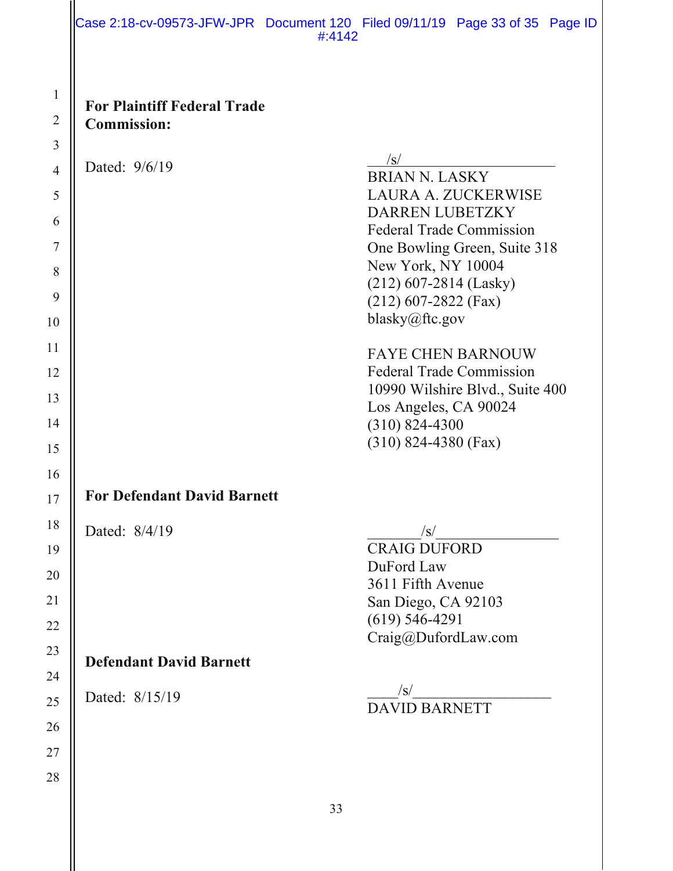#### Case 2:18-cv-09573-JFW-JPR Document 120 Filed 09/11/19 Page 33 of 35 Page ID #:4142

6

7

8

9

10

11

12

13

14

15

16

17

18

19

20

21

22

23

24

25

26

27

28

| <b>For Plaintiff Federal Trade</b> |
|------------------------------------|
| <b>Commission:</b>                 |

Dated:  $9/6/19$  /s/

- -
	- **For Defendant David Barnett**
- Dated:  $8/4/19$  /s/

# **Defendant David Barnett**

Dated: 8/15/19 \_\_\_\_/s/\_\_\_\_\_\_\_\_\_\_\_\_\_\_\_\_\_\_

Craig@DufordLaw.com

BRIAN N. LASKY

LAURA A. ZUCKERWISE

DARREN LUBETZKY Federal Trade Commission One Bowling Green, Suite 318

New York, NY 10004 (212) 607-2814 (Lasky) (212) 607-2822 (Fax)

FAYE CHEN BARNOUW Federal Trade Commission

Los Angeles, CA 90024

(310) 824-4380 (Fax)

CRAIG DUFORD

3611 Fifth Avenue San Diego, CA 92103

DuFord Law

(619) 546-4291

10990 Wilshire Blvd., Suite 400

blasky@ftc.gov

(310) 824-4300

## DAVID BARNETT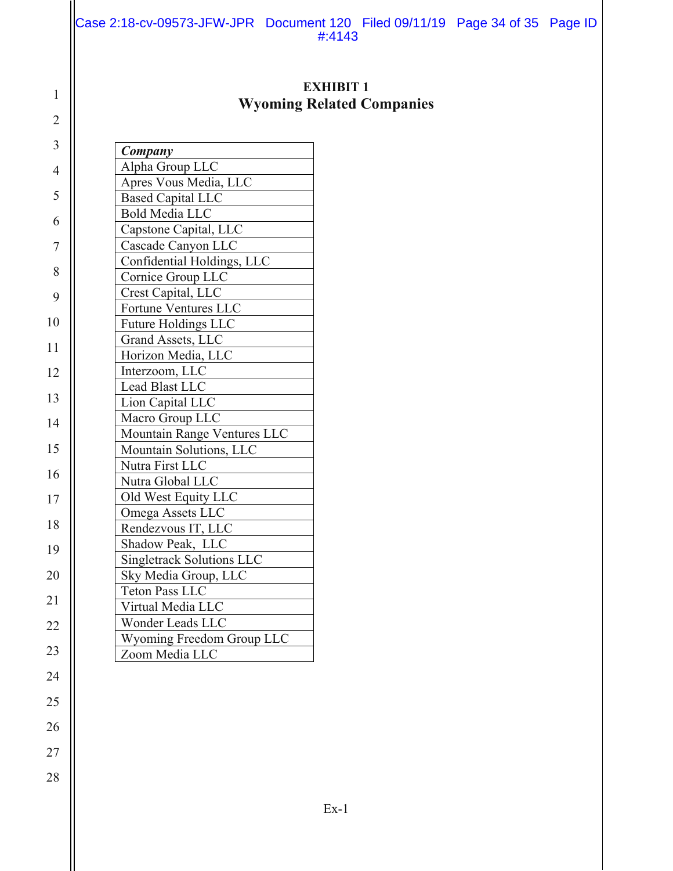Case 2:18-cv-09573-JFW-JPR Document 120 Filed 09/11/19 Page 34 of 35 Page ID #:4143

### **EXHIBIT 1 Wyoming Related Companies**

| Company                          |
|----------------------------------|
| Alpha Group LLC                  |
| Apres Vous Media, LLC            |
| <b>Based Capital LLC</b>         |
| <b>Bold Media LLC</b>            |
| Capstone Capital, LLC            |
| Cascade Canyon LLC               |
| Confidential Holdings, LLC       |
| Cornice Group LLC                |
| Crest Capital, LLC               |
| Fortune Ventures LLC             |
| <b>Future Holdings LLC</b>       |
| Grand Assets, LLC                |
| Horizon Media, LLC               |
| Interzoom, LLC                   |
| Lead Blast LLC                   |
| Lion Capital LLC                 |
| Macro Group LLC                  |
| Mountain Range Ventures LLC      |
| Mountain Solutions, LLC          |
| Nutra First LLC                  |
| Nutra Global LLC                 |
| Old West Equity LLC              |
| Omega Assets LLC                 |
| Rendezvous IT, LLC               |
| Shadow Peak, LLC                 |
| <b>Singletrack Solutions LLC</b> |
| Sky Media Group, LLC             |
| <b>Teton Pass LLC</b>            |
| Virtual Media LLC                |
| Wonder Leads LLC                 |
| Wyoming Freedom Group LLC        |
| Zoom Media LLC                   |
|                                  |